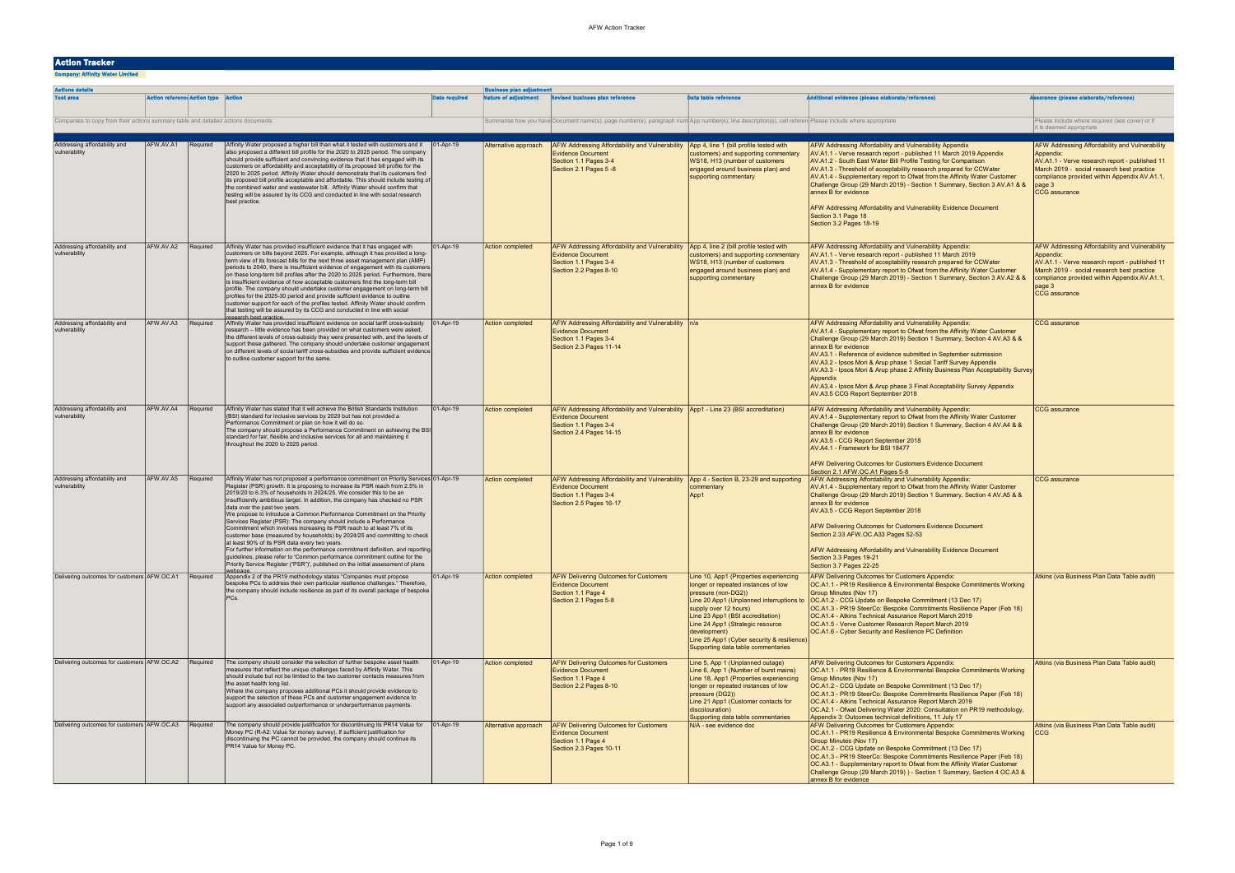## Action Tracker

Company: Affinity Water Limited

| <b>Actions details</b>                                                            |                                           |          |                                                                                                                                                                                                                                                                                                                                                                                                                                                                                                                                                                                                                                                                                                                                                                                                                                                                                                                                                                                |                      | <b>Business plan adjustment</b> |                                                                                                                                                                     |                                                                                                                                                                                                                                                                                                                                                       |                                                                                                                                                                                                                                                                                                                                                                                                                                                                                                                                                                                                 |                                                                                                                                                                                                                                                      |
|-----------------------------------------------------------------------------------|-------------------------------------------|----------|--------------------------------------------------------------------------------------------------------------------------------------------------------------------------------------------------------------------------------------------------------------------------------------------------------------------------------------------------------------------------------------------------------------------------------------------------------------------------------------------------------------------------------------------------------------------------------------------------------------------------------------------------------------------------------------------------------------------------------------------------------------------------------------------------------------------------------------------------------------------------------------------------------------------------------------------------------------------------------|----------------------|---------------------------------|---------------------------------------------------------------------------------------------------------------------------------------------------------------------|-------------------------------------------------------------------------------------------------------------------------------------------------------------------------------------------------------------------------------------------------------------------------------------------------------------------------------------------------------|-------------------------------------------------------------------------------------------------------------------------------------------------------------------------------------------------------------------------------------------------------------------------------------------------------------------------------------------------------------------------------------------------------------------------------------------------------------------------------------------------------------------------------------------------------------------------------------------------|------------------------------------------------------------------------------------------------------------------------------------------------------------------------------------------------------------------------------------------------------|
| <b>Test area</b>                                                                  | <b>Action reference Action type Actio</b> |          |                                                                                                                                                                                                                                                                                                                                                                                                                                                                                                                                                                                                                                                                                                                                                                                                                                                                                                                                                                                | <b>Date required</b> | ature of adjustment             | <b>Revised business plan reference</b>                                                                                                                              | <b>Data table reference</b>                                                                                                                                                                                                                                                                                                                           | itional evidence (please elaborate/reference)                                                                                                                                                                                                                                                                                                                                                                                                                                                                                                                                                   | ssurance (please elaborate/reference)                                                                                                                                                                                                                |
| Companies to copy from their actions summary table and detailed actions documents |                                           |          |                                                                                                                                                                                                                                                                                                                                                                                                                                                                                                                                                                                                                                                                                                                                                                                                                                                                                                                                                                                |                      |                                 | Summarise how you have Document name(s), page number(s), paragraph num App number(s), line description(s), cell referen Please include where appropriate            |                                                                                                                                                                                                                                                                                                                                                       |                                                                                                                                                                                                                                                                                                                                                                                                                                                                                                                                                                                                 | Please include where required (see cover) or if<br>it is deemed appropriate                                                                                                                                                                          |
| Addressing affordability and<br>vulnerability                                     | AFW.AV.A1 Required                        |          | Affinity Water proposed a higher bill than what it tested with customers and it<br>also proposed a different bill profile for the 2020 to 2025 period. The company<br>should provide sufficient and convincing evidence that it has engaged with its<br>customers on affordability and acceptability of its proposed bill profile for the<br>2020 to 2025 period. Affinity Water should demonstrate that its customers find<br>its proposed bill profile acceptable and affordable. This should include testing of<br>the combined water and wastewater bill. Affinity Water should confirm that<br>testing will be assured by its CCG and conducted in line with social research<br>best practice.                                                                                                                                                                                                                                                                            | $ 01 - Apr-19 $      | Alternative approach            | <b>AFW Addressing Affordability and Vulnerability</b><br><b>Evidence Document</b><br>Section 1.1 Pages 3-4<br>Section 2.1 Pages 5 -8                                | App 4, line 1 (bill profile tested with<br>customers) and supporting commentary<br>WS18, H13 (number of customers<br>engaged around business plan) and<br>supporting commentary                                                                                                                                                                       | AFW Addressing Affordability and Vulnerability Appendix<br>AV.A1.1 - Verve research report - published 11 March 2019 Appendix<br>AV.A1.2 - South East Water Bill Profile Testing for Comparison<br>AV.A1.3 - Threshold of acceptability research prepared for CCWater<br>AV.A1.4 - Supplementary report to Ofwat from the Affinity Water Customer<br>Challenge Group (29 March 2019) - Section 1 Summary, Section 3 AV.A1 & &<br>annex B for evidence<br>AFW Addressing Affordability and Vulnerability Evidence Document<br>Section 3.1 Page 18<br>Section 3.2 Pages 18-19                     | <b>AFW Addressing Affordability and Vulnerability</b><br>Appendix:<br>AV.A1.1 - Verve research report - published 11<br>March 2019 - social research best practice<br>compliance provided within Appendix AV.A1.1,<br>page 3<br><b>CCG</b> assurance |
| Addressing affordability and<br>vulnerability                                     | AFW.AV.A2                                 | Required | Affinity Water has provided insufficient evidence that it has engaged with<br>customers on bills beyond 2025. For example, although it has provided a long-<br>term view of its forecast bills for the next three asset management plan (AMP)<br>periods to 2040, there is insufficient evidence of engagement with its customers<br>on these long-term bill profiles after the 2020 to 2025 period. Furthermore, there<br>is insufficient evidence of how acceptable customers find the long-term bill<br>profile. The company should undertake customer engagement on long-term bill<br>profiles for the 2025-30 period and provide sufficient evidence to outline<br>customer support for each of the profiles tested. Affinity Water should confirm<br>that testing will be assured by its CCG and conducted in line with social<br>esearch best practice.                                                                                                                 | 01-Apr-19            | <b>Action completed</b>         | <b>AFW Addressing Affordability and Vulnerability</b><br><b>Evidence Document</b><br>Section 1.1 Pages 3-4<br>Section 2.2 Pages 8-10                                | App 4, line 2 (bill profile tested with<br>customers) and supporting commentary<br>WS18, H13 (number of customers<br>engaged around business plan) and<br>supporting commentary                                                                                                                                                                       | AFW Addressing Affordability and Vulnerability Appendix:<br>AV.A1.1 - Verve research report - published 11 March 2019<br>AV.A1.3 - Threshold of acceptability research prepared for CCWater<br>AV.A1.4 - Supplementary report to Ofwat from the Affinity Water Customer<br>Challenge Group (29 March 2019) - Section 1 Summary, Section 3 AV.A2 & &<br>annex B for evidence                                                                                                                                                                                                                     | AFW Addressing Affordability and Vulnerability<br>Appendix:<br>AV.A1.1 - Verve research report - published 11<br>March 2019 - social research best practice<br>compliance provided within Appendix AV.A1.1,<br>page 3<br><b>CCG</b> assurance        |
| Addressing affordability and<br>vulnerability                                     | AFW.AV.A3                                 | Required | Affinity Water has provided insufficient evidence on social tariff cross-subsidy<br>research - little evidence has been provided on what customers were asked,<br>the different levels of cross-subsidy they were presented with, and the levels of<br>support these gathered. The company should undertake customer engagement<br>on different levels of social tariff cross-subsidies and provide sufficient evidence<br>to outline customer support for the same.                                                                                                                                                                                                                                                                                                                                                                                                                                                                                                           | $ 01 - Apr - 19 $    | <b>Action completed</b>         | <b>AFW Addressing Affordability and Vulnerability   n/a</b><br><b>Evidence Document</b><br>Section 1.1 Pages 3-4<br>Section 2.3 Pages 11-14                         |                                                                                                                                                                                                                                                                                                                                                       | AFW Addressing Affordability and Vulnerability Appendix:<br>AV.A1.4 - Supplementary report to Ofwat from the Affinity Water Customer<br>Challenge Group (29 March 2019) Section 1 Summary, Section 4 AV.A3 & &<br>annex B for evidence<br>AV.A3.1 - Reference of evidence submitted in September submission<br>AV.A3.2 - Ipsos Mori & Arup phase 1 Social Tariff Survey Appendix<br>AV.A3.3 - Ipsos Mori & Arup phase 2 Affinity Business Plan Acceptability Survey<br>Appendix<br>AV.A3.4 - Ipsos Mori & Arup phase 3 Final Acceptability Survey Appendix<br>AV.A3.5 CCG Report September 2018 | <b>CCG</b> assurance                                                                                                                                                                                                                                 |
| Addressing affordability and<br>vulnerability                                     | AFW.AV.A4                                 | Required | Affinity Water has stated that it will achieve the British Standards Institution<br>(BSI) standard for inclusive services by 2020 but has not provided a<br>Performance Commitment or plan on how it will do so.<br>The company should propose a Performance Commitment on achieving the BSI<br>standard for fair, flexible and inclusive services for all and maintaining it<br>throughout the 2020 to 2025 period.                                                                                                                                                                                                                                                                                                                                                                                                                                                                                                                                                           | 01-Apr-19            | <b>Action completed</b>         | AFW Addressing Affordability and Vulnerability   App1 - Line 23 (BSI accreditation)<br><b>Evidence Document</b><br>Section 1.1 Pages 3-4<br>Section 2.4 Pages 14-15 |                                                                                                                                                                                                                                                                                                                                                       | AFW Addressing Affordability and Vulnerability Appendix:<br>AV.A1.4 - Supplementary report to Ofwat from the Affinity Water Customer<br>Challenge Group (29 March 2019) Section 1 Summary, Section 4 AV.A4 & &<br>annex B for evidence<br>AV.A3.5 - CCG Report September 2018<br>AV.A4.1 - Framework for BSI 18477<br><b>AFW Delivering Outcomes for Customers Evidence Document</b><br>Section 2.1 AFW.OC.A1 Pages 5-8                                                                                                                                                                         | <b>CCG</b> assurance                                                                                                                                                                                                                                 |
| Addressing affordability and<br>vulnerability                                     | AFW.AV.A5                                 | Required | Affinity Water has not proposed a performance commitment on Priority Services 01-Apr-19<br>Register (PSR) growth. It is proposing to increase its PSR reach from 2.5% in<br>2019/20 to 6.3% of households in 2024/25. We consider this to be an<br>insufficiently ambitious target. In addition, the company has checked no PSR<br>data over the past two years.<br>We propose to introduce a Common Performance Commitment on the Priority<br>Services Register (PSR): The company should include a Performance<br>Commitment which involves increasing its PSR reach to at least 7% of its<br>customer base (measured by households) by 2024/25 and committing to check<br>at least 90% of its PSR data every two years.<br>For further information on the performance commitment definition, and reportin<br>guidelines, please refer to 'Common performance commitment outline for the<br>Priority Service Register ("PSR")', published on the initial assessment of plans |                      | <b>Action completed</b>         | <b>AFW Addressing Affordability and Vulnerability</b><br><b>Evidence Document</b><br>Section 1.1 Pages 3-4<br>Section 2.5 Pages 16-17                               | App 4 - Section B, 23-29 and supporting<br>commentary<br>App1                                                                                                                                                                                                                                                                                         | AFW Addressing Affordability and Vulnerability Appendix:<br>AV.A1.4 - Supplementary report to Ofwat from the Affinity Water Customer<br>Challenge Group (29 March 2019) Section 1 Summary, Section 4 AV.A5 & &<br>annex B for evidence<br>AV.A3.5 - CCG Report September 2018<br>AFW Delivering Outcomes for Customers Evidence Document<br>Section 2.33 AFW.OC.A33 Pages 52-53<br>AFW Addressing Affordability and Vulnerability Evidence Document<br>Section 3.3 Pages 19-21<br>Section 3.7 Pages 22-25                                                                                       | <b>CCG</b> assurance                                                                                                                                                                                                                                 |
| Delivering outcomes for customers AFW.OC.A1                                       |                                           | Required | Appendix 2 of the PR19 methodology states "Companies must propose<br>bespoke PCs to address their own particular resilience challenges." Therefore,<br>the company should include resilience as part of its overall package of bespoke<br>PCs.                                                                                                                                                                                                                                                                                                                                                                                                                                                                                                                                                                                                                                                                                                                                 | 01-Apr-19            | <b>Action completed</b>         | <b>AFW Delivering Outcomes for Customers</b><br><b>Evidence Document</b><br>Section 1.1 Page 4<br>Section 2.1 Pages 5-8                                             | Line 10, App1 (Properties experiencing<br>longer or repeated instances of low<br>pressure (non-DG2))<br>Line 20 App1 (Unplanned interruptions to<br>supply over 12 hours)<br>Line 23 App1 (BSI accreditation)<br>Line 24 App1 (Strategic resource<br>development)<br>Line 25 App1 (Cyber security & resilience)<br>Supporting data table commentaries | AFW Delivering Outcomes for Customers Appendix:<br>OC.A1.1 - PR19 Resilience & Environmental Bespoke Commitments Working<br>Group Minutes (Nov 17)<br>OC.A1.2 - CCG Update on Bespoke Commitment (13 Dec 17)<br>OC.A1.3 - PR19 SteerCo: Bespoke Commitments Resilience Paper (Feb 18)<br>OC.A1.4 - Atkins Technical Assurance Report March 2019<br>OC.A1.5 - Verve Customer Research Report March 2019<br>OC.A1.6 - Cyber Security and Resilience PC Definition                                                                                                                                 | Atkins (via Business Plan Data Table audit)                                                                                                                                                                                                          |
| Delivering outcomes for customers AFW.OC.A2                                       |                                           | Required | The company should consider the selection of further bespoke asset health<br>measures that reflect the unique challenges faced by Affinity Water. This<br>should include but not be limited to the two customer contacts measures from<br>the asset health long list.<br>Where the company proposes additional PCs it should provide evidence to<br>support the selection of these PCs and customer engagement evidence to<br>support any associated outperformance or underperformance payments.                                                                                                                                                                                                                                                                                                                                                                                                                                                                              | 01-Apr-19            | <b>Action completed</b>         | <b>AFW Delivering Outcomes for Customers</b><br><b>Evidence Document</b><br>Section 1.1 Page 4<br>Section 2.2 Pages 8-10                                            | Line 5, App 1 (Unplanned outage)<br>Line 6, App 1 (Number of burst mains)<br>Line 18, App1 (Properties experiencing<br>longer or repeated instances of low<br>pressure (DG2))<br>Line 21 App1 (Customer contacts for<br>discolouration)<br>Supporting data table commentaries                                                                         | AFW Delivering Outcomes for Customers Appendix:<br>OC.A1.1 - PR19 Resilience & Environmental Bespoke Commitments Working<br>Group Minutes (Nov 17)<br>OC.A1.2 - CCG Update on Bespoke Commitment (13 Dec 17)<br>OC.A1.3 - PR19 SteerCo: Bespoke Commitments Resilience Paper (Feb 18)<br>OC.A1.4 - Atkins Technical Assurance Report March 2019<br>OC.A2.1 - Ofwat Delivering Water 2020: Consultation on PR19 methodology,<br>Appendix 3: Outcomes technical definitions, 11 July 17                                                                                                           | Atkins (via Business Plan Data Table audit)                                                                                                                                                                                                          |
| Delivering outcomes for customers AFW.OC.A3                                       |                                           | Required | The company should provide justification for discontinuing its PR14 Value for $ 01-Apr-19 $<br>Money PC (R-A2: Value for money survey). If sufficient justification for<br>discontinuing the PC cannot be provided, the company should continue its<br>PR14 Value for Money PC.                                                                                                                                                                                                                                                                                                                                                                                                                                                                                                                                                                                                                                                                                                |                      | Alternative approach            | <b>AFW Delivering Outcomes for Customers</b><br><b>Evidence Document</b><br>Section 1.1 Page 4<br>Section 2.3 Pages 10-11                                           | N/A - see evidence doc                                                                                                                                                                                                                                                                                                                                | AFW Delivering Outcomes for Customers Appendix:<br>OC.A1.1 - PR19 Resilience & Environmental Bespoke Commitments Working<br>Group Minutes (Nov 17)<br>OC.A1.2 - CCG Update on Bespoke Commitment (13 Dec 17)<br>OC.A1.3 - PR19 SteerCo: Bespoke Commitments Resilience Paper (Feb 18)<br>OC.A3.1 - Supplementary report to Ofwat from the Affinity Water Customer<br>Challenge Group (29 March 2019) ) - Section 1 Summary, Section 4 OC.A3 &<br>annex B for evidence                                                                                                                           | Atkins (via Business Plan Data Table audit)<br><b>CCG</b>                                                                                                                                                                                            |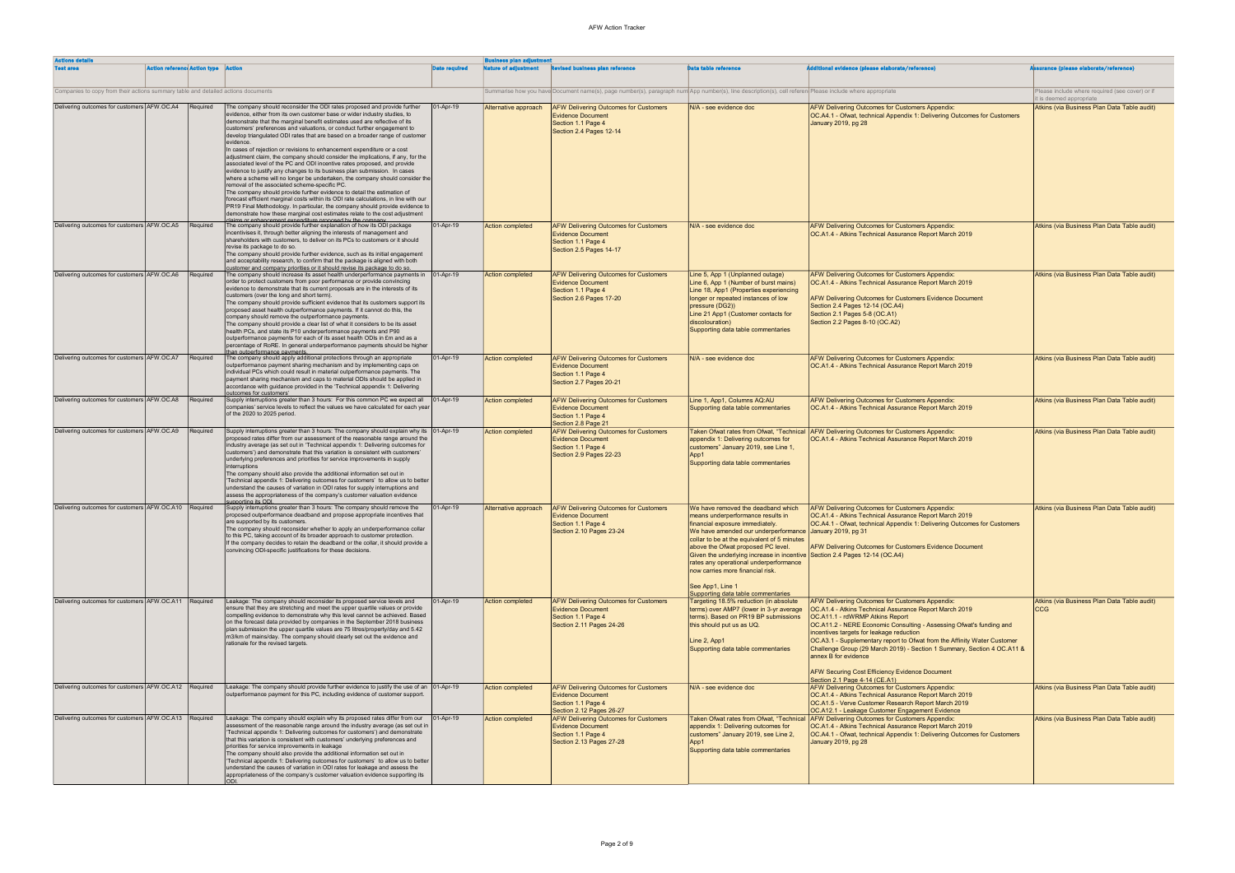| <b>Actions details</b>                                                            |                                              |                                                                                                                                                                                                                                                                                                                                                                                                                                                                                                                                                                                                                                                                                                                                                                                                                                                                                                                                                                                                                                                                                                                                                                                       |                      | <b>Business plan adjustment</b> |                                                                                                                                                          |                                                                                                                                                                                                                                                                                                                                                                                                                                                                                   |                                                                                                                                                                                                                                                                                                                                                                                                                                                                                                                                   |                                                                         |  |
|-----------------------------------------------------------------------------------|----------------------------------------------|---------------------------------------------------------------------------------------------------------------------------------------------------------------------------------------------------------------------------------------------------------------------------------------------------------------------------------------------------------------------------------------------------------------------------------------------------------------------------------------------------------------------------------------------------------------------------------------------------------------------------------------------------------------------------------------------------------------------------------------------------------------------------------------------------------------------------------------------------------------------------------------------------------------------------------------------------------------------------------------------------------------------------------------------------------------------------------------------------------------------------------------------------------------------------------------|----------------------|---------------------------------|----------------------------------------------------------------------------------------------------------------------------------------------------------|-----------------------------------------------------------------------------------------------------------------------------------------------------------------------------------------------------------------------------------------------------------------------------------------------------------------------------------------------------------------------------------------------------------------------------------------------------------------------------------|-----------------------------------------------------------------------------------------------------------------------------------------------------------------------------------------------------------------------------------------------------------------------------------------------------------------------------------------------------------------------------------------------------------------------------------------------------------------------------------------------------------------------------------|-------------------------------------------------------------------------|--|
| <b>Test area</b>                                                                  | <b>Action reference Action type   Action</b> |                                                                                                                                                                                                                                                                                                                                                                                                                                                                                                                                                                                                                                                                                                                                                                                                                                                                                                                                                                                                                                                                                                                                                                                       | <b>Date required</b> | <b>lature of adjustment</b>     | <b>Revised business plan reference</b>                                                                                                                   | <b>Data table reference</b>                                                                                                                                                                                                                                                                                                                                                                                                                                                       | itional evidence (please elaborate/reference)                                                                                                                                                                                                                                                                                                                                                                                                                                                                                     | urance (please elaborate/reference)                                     |  |
| Companies to copy from their actions summary table and detailed actions documents |                                              |                                                                                                                                                                                                                                                                                                                                                                                                                                                                                                                                                                                                                                                                                                                                                                                                                                                                                                                                                                                                                                                                                                                                                                                       |                      |                                 | Summarise how you have Document name(s), page number(s), paragraph num App number(s), line description(s), cell referen Please include where appropriate |                                                                                                                                                                                                                                                                                                                                                                                                                                                                                   |                                                                                                                                                                                                                                                                                                                                                                                                                                                                                                                                   | Please include where required (see cover) or if                         |  |
| Delivering outcomes for customers AFW.OC.A4                                       | Required                                     | The company should reconsider the ODI rates proposed and provide further                                                                                                                                                                                                                                                                                                                                                                                                                                                                                                                                                                                                                                                                                                                                                                                                                                                                                                                                                                                                                                                                                                              | 01-Apr-19            | Alternative approach            | <b>AFW Delivering Outcomes for Customers</b>                                                                                                             | N/A - see evidence doc                                                                                                                                                                                                                                                                                                                                                                                                                                                            | <b>AFW Delivering Outcomes for Customers Appendix:</b>                                                                                                                                                                                                                                                                                                                                                                                                                                                                            | it is deemed appropriate<br>Atkins (via Business Plan Data Table audit) |  |
|                                                                                   |                                              | evidence, either from its own customer base or wider industry studies, to<br>demonstrate that the marginal benefit estimates used are reflective of its<br>customers' preferences and valuations, or conduct further engagement to<br>develop triangulated ODI rates that are based on a broader range of customer<br>evidence.<br>In cases of rejection or revisions to enhancement expenditure or a cost<br>adjustment claim, the company should consider the implications, if any, for the<br>associated level of the PC and ODI incentive rates proposed, and provide<br>evidence to justify any changes to its business plan submission. In cases<br>where a scheme will no longer be undertaken, the company should consider the<br>removal of the associated scheme-specific PC.<br>The company should provide further evidence to detail the estimation of<br>forecast efficient marginal costs within its ODI rate calculations, in line with our<br>PR19 Final Methodology. In particular, the company should provide evidence to<br>demonstrate how these marginal cost estimates relate to the cost adjustment<br>aims or enhancement expenditure proposed by the company |                      |                                 | <b>Evidence Document</b><br>Section 1.1 Page 4<br>Section 2.4 Pages 12-14                                                                                |                                                                                                                                                                                                                                                                                                                                                                                                                                                                                   | OC.A4.1 - Ofwat, technical Appendix 1: Delivering Outcomes for Customers<br>January 2019, pg 28                                                                                                                                                                                                                                                                                                                                                                                                                                   |                                                                         |  |
| Delivering outcomes for customers AFW.OC.A5                                       | Required                                     | The company should provide further explanation of how its ODI package<br>incentivises it, through better aligning the interests of management and<br>shareholders with customers, to deliver on its PCs to customers or it should<br>revise its package to do so.<br>The company should provide further evidence, such as its initial engagement<br>and acceptability research, to confirm that the package is aligned with both<br>ustomer and company priorities or it should revise its package to do so.                                                                                                                                                                                                                                                                                                                                                                                                                                                                                                                                                                                                                                                                          | 01-Apr-19            | Action completed                | <b>AFW Delivering Outcomes for Customers</b><br><b>Evidence Document</b><br>Section 1.1 Page 4<br>Section 2.5 Pages 14-17                                | N/A - see evidence doc                                                                                                                                                                                                                                                                                                                                                                                                                                                            | <b>AFW Delivering Outcomes for Customers Appendix:</b><br>OC.A1.4 - Atkins Technical Assurance Report March 2019                                                                                                                                                                                                                                                                                                                                                                                                                  | Atkins (via Business Plan Data Table audit)                             |  |
| Delivering outcomes for customers AFW.OC.A6                                       | Required                                     | The company should increase its asset health underperformance payments in   01-Apr-19<br>order to protect customers from poor performance or provide convincing<br>evidence to demonstrate that its current proposals are in the interests of its<br>customers (over the long and short term).<br>The company should provide sufficient evidence that its customers support its<br>proposed asset health outperformance payments. If it cannot do this, the<br>company should remove the outperformance payments.<br>The company should provide a clear list of what it considers to be its asset<br>health PCs, and state its P10 underperformance payments and P90<br>outperformance payments for each of its asset health ODIs in £m and as a<br>percentage of RoRE. In general underperformance payments should be higher<br>an outperformance payments                                                                                                                                                                                                                                                                                                                           |                      | <b>Action completed</b>         | <b>AFW Delivering Outcomes for Customers</b><br><b>Evidence Document</b><br>Section 1.1 Page 4<br>Section 2.6 Pages 17-20                                | Line 5, App 1 (Unplanned outage)<br>Line 6, App 1 (Number of burst mains)<br>Line 18, App1 (Properties experiencing<br>longer or repeated instances of low<br>pressure (DG2))<br>Line 21 App1 (Customer contacts for<br>discolouration)<br>Supporting data table commentaries                                                                                                                                                                                                     | <b>AFW Delivering Outcomes for Customers Appendix:</b><br>OC.A1.4 - Atkins Technical Assurance Report March 2019<br>AFW Delivering Outcomes for Customers Evidence Document<br>Section 2.4 Pages 12-14 (OC.A4)<br>Section 2.1 Pages 5-8 (OC.A1)<br>Section 2.2 Pages 8-10 (OC.A2)                                                                                                                                                                                                                                                 | Atkins (via Business Plan Data Table audit)                             |  |
| Delivering outcomes for customers AFW.OC.A7                                       | Required                                     | The company should apply additional protections through an appropriate<br>outperformance payment sharing mechanism and by implementing caps on<br>individual PCs which could result in material outperformance payments. The<br>payment sharing mechanism and caps to material ODIs should be applied in<br>accordance with guidance provided in the 'Technical appendix 1: Delivering<br>outcomes for customers'                                                                                                                                                                                                                                                                                                                                                                                                                                                                                                                                                                                                                                                                                                                                                                     | 01-Apr-19            | <b>Action completed</b>         | <b>AFW Delivering Outcomes for Customers</b><br><b>Evidence Document</b><br>Section 1.1 Page 4<br>Section 2.7 Pages 20-21                                | N/A - see evidence doc                                                                                                                                                                                                                                                                                                                                                                                                                                                            | <b>AFW Delivering Outcomes for Customers Appendix:</b><br>OC.A1.4 - Atkins Technical Assurance Report March 2019                                                                                                                                                                                                                                                                                                                                                                                                                  | Atkins (via Business Plan Data Table audit)                             |  |
| Delivering outcomes for customers AFW.OC.A8                                       | Required                                     | Supply interruptions greater than 3 hours: For this common PC we expect all   01-Apr-19<br>companies' service levels to reflect the values we have calculated for each year<br>of the 2020 to 2025 period.                                                                                                                                                                                                                                                                                                                                                                                                                                                                                                                                                                                                                                                                                                                                                                                                                                                                                                                                                                            |                      | <b>Action completed</b>         | <b>AFW Delivering Outcomes for Customers</b><br><b>Evidence Document</b><br>Section 1.1 Page 4<br>Section 2.8 Page 21                                    | Line 1, App1, Columns AQ:AU<br>Supporting data table commentaries                                                                                                                                                                                                                                                                                                                                                                                                                 | <b>AFW Delivering Outcomes for Customers Appendix:</b><br>OC.A1.4 - Atkins Technical Assurance Report March 2019                                                                                                                                                                                                                                                                                                                                                                                                                  | Atkins (via Business Plan Data Table audit)                             |  |
| Delivering outcomes for customers AFW.OC.A9                                       | Required                                     | Supply interruptions greater than 3 hours: The company should explain why its   01-Apr-19<br>proposed rates differ from our assessment of the reasonable range around the<br>industry average (as set out in 'Technical appendix 1: Delivering outcomes for<br>customers') and demonstrate that this variation is consistent with customers'<br>underlying preferences and priorities for service improvements in supply<br>interruptions<br>The company should also provide the additional information set out in<br>'Technical appendix 1: Delivering outcomes for customers' to allow us to better<br>understand the causes of variation in ODI rates for supply interruptions and<br>assess the appropriateness of the company's customer valuation evidence<br>upporting its ODL                                                                                                                                                                                                                                                                                                                                                                                                 |                      | <b>Action completed</b>         | <b>AFW Delivering Outcomes for Customers</b><br><b>Evidence Document</b><br>Section 1.1 Page 4<br>Section 2.9 Pages 22-23                                | <b>Taken Ofwat rates from Ofwat, "Technical</b><br>appendix 1: Delivering outcomes for<br>customers" January 2019, see Line 1,<br>App1<br>Supporting data table commentaries                                                                                                                                                                                                                                                                                                      | AFW Delivering Outcomes for Customers Appendix:<br>OC.A1.4 - Atkins Technical Assurance Report March 2019                                                                                                                                                                                                                                                                                                                                                                                                                         | Atkins (via Business Plan Data Table audit)                             |  |
| Delivering outcomes for customers AFW.OC.A10 Required                             |                                              | Supply interruptions greater than 3 hours: The company should remove the<br>proposed outperformance deadband and propose appropriate incentives that<br>are supported by its customers.<br>The company should reconsider whether to apply an underperformance collar<br>to this PC, taking account of its broader approach to customer protection.<br>If the company decides to retain the deadband or the collar, it should provide a<br>convincing ODI-specific justifications for these decisions.                                                                                                                                                                                                                                                                                                                                                                                                                                                                                                                                                                                                                                                                                 | 01-Apr-19            | Alternative approach            | <b>AFW Delivering Outcomes for Customers</b><br><b>Evidence Document</b><br>Section 1.1 Page 4<br>Section 2.10 Pages 23-24                               | We have removed the deadband which<br>means underperformance results in<br>financial exposure immediately.<br>We have amended our underperformance January 2019, pg 31<br>collar to be at the equivalent of 5 minutes<br>above the Ofwat proposed PC level.<br>Given the underlying increase in incentive Section 2.4 Pages 12-14 (OC.A4)<br>rates any operational underperformance<br>now carries more financial risk.<br>See App1, Line 1<br>Supporting data table commentaries | <b>AFW Delivering Outcomes for Customers Appendix:</b><br>OC.A1.4 - Atkins Technical Assurance Report March 2019<br>OC.A4.1 - Ofwat, technical Appendix 1: Delivering Outcomes for Customers<br>AFW Delivering Outcomes for Customers Evidence Document                                                                                                                                                                                                                                                                           | Atkins (via Business Plan Data Table audit)                             |  |
| Delivering outcomes for customers AFW.OC.A11 Required                             |                                              | Leakage: The company should reconsider its proposed service levels and<br>ensure that they are stretching and meet the upper quartile values or provide<br>compelling evidence to demonstrate why this level cannot be achieved. Based<br>on the forecast data provided by companies in the September 2018 business<br>plan submission the upper quartile values are 75 litres/property/day and 5.42<br>m3/km of mains/day. The company should clearly set out the evidence and<br>rationale for the revised targets.                                                                                                                                                                                                                                                                                                                                                                                                                                                                                                                                                                                                                                                                 | 01-Apr-19            | Action completed                | <b>AFW Delivering Outcomes for Customers</b><br><b>Evidence Document</b><br>Section 1.1 Page 4<br>Section 2.11 Pages 24-26                               | Targeting 18.5% reduction (in absolute<br>terms) over AMP7 (lower in 3-yr average<br>terms). Based on PR19 BP submissions<br>this should put us as UQ.<br>Line 2, App1<br>Supporting data table commentaries                                                                                                                                                                                                                                                                      | AFW Delivering Outcomes for Customers Appendix:<br>OC.A1.4 - Atkins Technical Assurance Report March 2019<br>OC.A11.1 - rdWRMP Atkins Report<br>OC.A11.2 - NERE Economic Consulting - Assessing Ofwat's funding and<br>incentives targets for leakage reduction<br>OC.A3.1 - Supplementary report to Ofwat from the Affinity Water Customer<br>Challenge Group (29 March 2019) - Section 1 Summary, Section 4 OC.A11 &<br>annex B for evidence<br>AFW Securing Cost Efficiency Evidence Document<br>Section 2.1 Page 4-14 (CE.A1) | Atkins (via Business Plan Data Table audit)<br><b>CCG</b>               |  |
| Delivering outcomes for customers AFW.OC.A12 Required                             |                                              | Leakage: The company should provide further evidence to justify the use of an  01-Apr-19<br>outperformance payment for this PC, including evidence of customer support.                                                                                                                                                                                                                                                                                                                                                                                                                                                                                                                                                                                                                                                                                                                                                                                                                                                                                                                                                                                                               |                      | Action completed                | <b>AFW Delivering Outcomes for Customers</b><br><b>Evidence Document</b><br>Section 1.1 Page 4<br>Section 2.12 Pages 26-27                               | N/A - see evidence doc                                                                                                                                                                                                                                                                                                                                                                                                                                                            | <b>AFW Delivering Outcomes for Customers Appendix:</b><br>OC.A1.4 - Atkins Technical Assurance Report March 2019<br>OC.A1.5 - Verve Customer Research Report March 2019<br>OC.A12.1 - Leakage Customer Engagement Evidence                                                                                                                                                                                                                                                                                                        | Atkins (via Business Plan Data Table audit)                             |  |
| Delivering outcomes for customers AFW.OC.A13 Required                             |                                              | Leakage: The company should explain why its proposed rates differ from our<br>assessment of the reasonable range around the industry average (as set out in<br>'Technical appendix 1: Delivering outcomes for customers') and demonstrate<br>that this variation is consistent with customers' underlying preferences and<br>priorities for service improvements in leakage<br>The company should also provide the additional information set out in<br>Technical appendix 1: Delivering outcomes for customers' to allow us to better<br>understand the causes of variation in ODI rates for leakage and assess the<br>appropriateness of the company's customer valuation evidence supporting its                                                                                                                                                                                                                                                                                                                                                                                                                                                                                   | $ 01-Apr-19 $        | Action completed                | <b>AFW Delivering Outcomes for Customers</b><br><b>Evidence Document</b><br>Section 1.1 Page 4<br>Section 2.13 Pages 27-28                               | <b>Taken Ofwat rates from Ofwat, "Technical</b><br>appendix 1: Delivering outcomes for<br>customers" January 2019, see Line 2,<br>App1<br>Supporting data table commentaries                                                                                                                                                                                                                                                                                                      | <b>AFW Delivering Outcomes for Customers Appendix:</b><br>OC.A1.4 - Atkins Technical Assurance Report March 2019<br>OC.A4.1 - Ofwat, technical Appendix 1: Delivering Outcomes for Customers<br>January 2019, pg 28                                                                                                                                                                                                                                                                                                               | Atkins (via Business Plan Data Table audit)                             |  |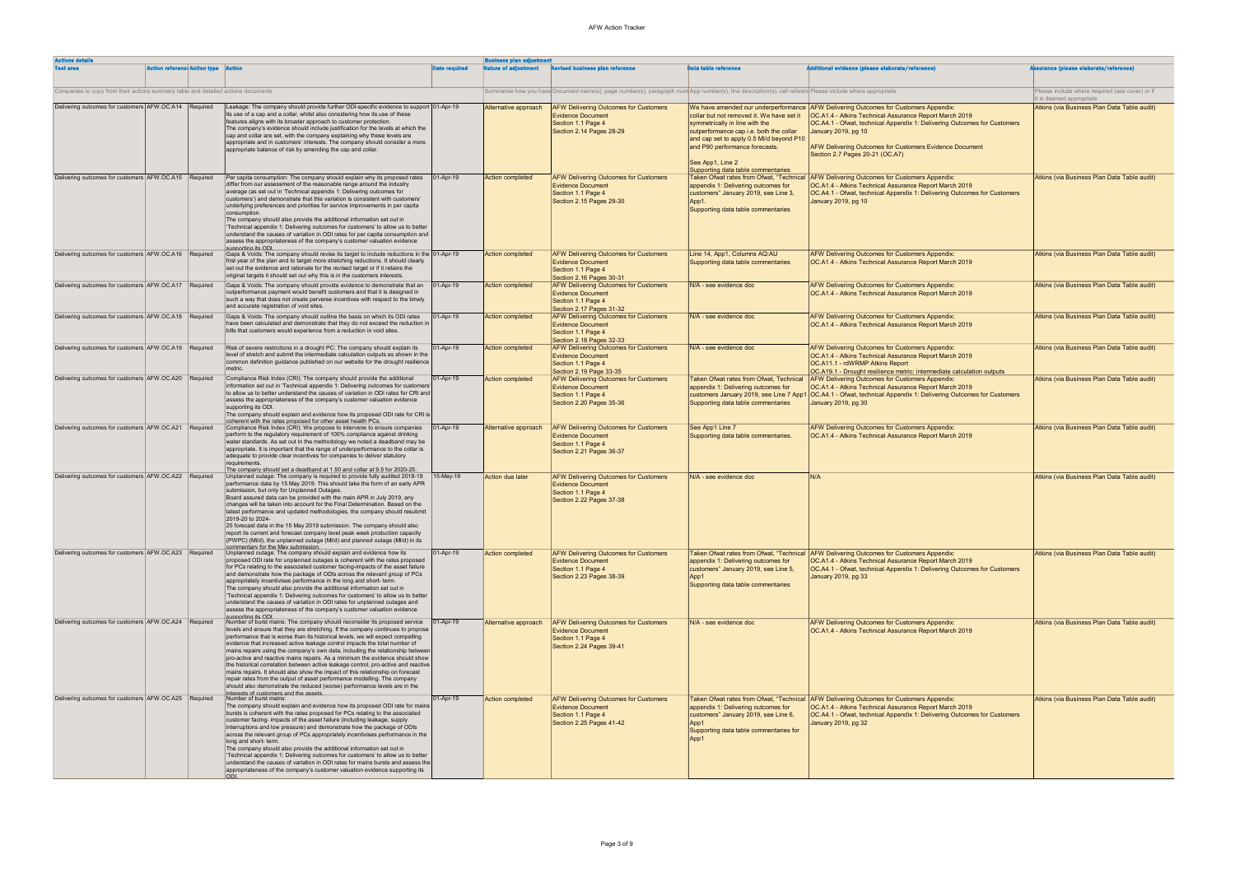| <b>Actions details</b>                                                            |                                                                                                                                                                                                                                                                                                                                                                                                                                                                                                                                                                                                                                                                                                                                                                                                                                                                           |                      | <b>Business plan adjustment</b> |                                                                                                                                                          |                                                                                                                                                                                                                   |                                                                                                                                                                                                                                             |                                                                             |
|-----------------------------------------------------------------------------------|---------------------------------------------------------------------------------------------------------------------------------------------------------------------------------------------------------------------------------------------------------------------------------------------------------------------------------------------------------------------------------------------------------------------------------------------------------------------------------------------------------------------------------------------------------------------------------------------------------------------------------------------------------------------------------------------------------------------------------------------------------------------------------------------------------------------------------------------------------------------------|----------------------|---------------------------------|----------------------------------------------------------------------------------------------------------------------------------------------------------|-------------------------------------------------------------------------------------------------------------------------------------------------------------------------------------------------------------------|---------------------------------------------------------------------------------------------------------------------------------------------------------------------------------------------------------------------------------------------|-----------------------------------------------------------------------------|
| <b>Action reference Action type Action</b><br><b>Test area</b>                    |                                                                                                                                                                                                                                                                                                                                                                                                                                                                                                                                                                                                                                                                                                                                                                                                                                                                           | <b>Date required</b> | Nature of adjustment            | <b>Revised business plan reference</b>                                                                                                                   | <b>Data table reference</b>                                                                                                                                                                                       | <b>Additional evidence (please elaborate/reference)</b>                                                                                                                                                                                     | <b>issurance (please elaborate/reference)</b>                               |
| Companies to copy from their actions summary table and detailed actions documents |                                                                                                                                                                                                                                                                                                                                                                                                                                                                                                                                                                                                                                                                                                                                                                                                                                                                           |                      |                                 | Summarise how you have Document name(s), page number(s), paragraph num App number(s), line description(s), cell referen Please include where appropriate |                                                                                                                                                                                                                   |                                                                                                                                                                                                                                             | Please include where required (see cover) or if<br>it is deemed appropriate |
| Delivering outcomes for customers AFW.OC.A14 Required                             | Leakage: The company should provide further ODI-specific evidence to support 01-Apr-19<br>its use of a cap and a collar, whilst also considering how its use of these                                                                                                                                                                                                                                                                                                                                                                                                                                                                                                                                                                                                                                                                                                     |                      | Alternative approach            | <b>AFW Delivering Outcomes for Customers</b><br><b>Evidence Document</b>                                                                                 | We have amended our underperformance<br>collar but not removed it. We have set it                                                                                                                                 | <b>AFW Delivering Outcomes for Customers Appendix:</b><br>OC.A1.4 - Atkins Technical Assurance Report March 2019                                                                                                                            | Atkins (via Business Plan Data Table audit)                                 |
|                                                                                   | features aligns with its broader approach to customer protection.<br>The company's evidence should include justification for the levels at which the<br>cap and collar are set, with the company explaining why these levels are<br>appropriate and in customers' interests. The company should consider a more<br>appropriate balance of risk by amending the cap and collar.                                                                                                                                                                                                                                                                                                                                                                                                                                                                                            |                      |                                 | Section 1.1 Page 4<br><b>Section 2.14 Pages 28-29</b>                                                                                                    | symmetrically in line with the<br>outperformance cap i.e. both the collar<br>and cap set to apply 0.5 MI/d beyond P10<br>and P90 performance forecasts.<br>See App1, Line 2<br>Supporting data table commentaries | OC.A4.1 - Ofwat, technical Appendix 1: Delivering Outcomes for Customers<br>January 2019, pg 10<br><b>AFW Delivering Outcomes for Customers Evidence Document</b><br>Section 2.7 Pages 20-21 (OC.A7)                                        |                                                                             |
| Delivering outcomes for customers AFW.OC.A15 Required                             | Per capita consumption: The company should explain why its proposed rates<br>differ from our assessment of the reasonable range around the industry<br>average (as set out in 'Technical appendix 1: Delivering outcomes for<br>customers') and demonstrate that this variation is consistent with customers'<br>underlying preferences and priorities for service improvements in per capita<br>consumption.<br>The company should also provide the additional information set out in<br>'Technical appendix 1: Delivering outcomes for customers' to allow us to better<br>understand the causes of variation in ODI rates for per capita consumption and<br>assess the appropriateness of the company's customer valuation evidence<br>supporting its ODL                                                                                                              | 01-Apr-19            | <b>Action completed</b>         | <b>AFW Delivering Outcomes for Customers</b><br><b>Evidence Document</b><br>Section 1.1 Page 4<br>Section 2.15 Pages 29-30                               | Taken Ofwat rates from Ofwat. "Technical<br>appendix 1: Delivering outcomes for<br>customers" January 2019, see Line 3,<br>Supporting data table commentaries                                                     | AFW Delivering Outcomes for Customers Appendix:<br>OC.A1.4 - Atkins Technical Assurance Report March 2019<br>OC.A4.1 - Ofwat, technical Appendix 1: Delivering Outcomes for Customers<br>January 2019, pg 10                                | Atkins (via Business Plan Data Table audit)                                 |
| Delivering outcomes for customers AFW.OC.A16 Required                             | Gaps & Voids: The company should revise its target to include reductions in the<br>first year of the plan and to target more stretching reductions. It should clearly<br>set out the evidence and rationale for the revised target or if it retains the<br>original targets it should set out why this is in the customers interests.                                                                                                                                                                                                                                                                                                                                                                                                                                                                                                                                     | 01-Apr-19            | <b>Action completed</b>         | <b>AFW Delivering Outcomes for Customers</b><br><b>Evidence Document</b><br>Section 1.1 Page 4<br>Section 2.16 Pages 30-31                               | Line 14, App1, Columns AQ:AU<br>Supporting data table commentaries                                                                                                                                                | <b>AFW Delivering Outcomes for Customers Appendix:</b><br><b>OC.A1.4 - Atkins Technical Assurance Report March 2019</b>                                                                                                                     | Atkins (via Business Plan Data Table audit)                                 |
| Delivering outcomes for customers AFW.OC.A17 Required                             | Gaps & Voids: The company should provide evidence to demonstrate that an<br>outperformance payment would benefit customers and that it is designed in<br>such a way that does not create perverse incentives with respect to the timely<br>and accurate registration of void sites.                                                                                                                                                                                                                                                                                                                                                                                                                                                                                                                                                                                       | 01-Apr-19            | <b>Action completed</b>         | <b>AFW Delivering Outcomes for Customers</b><br><b>Evidence Document</b><br>Section 1.1 Page 4<br>Section 2.17 Pages 31-32                               | N/A - see evidence doc                                                                                                                                                                                            | <b>AFW Delivering Outcomes for Customers Appendix:</b><br>OC.A1.4 - Atkins Technical Assurance Report March 2019                                                                                                                            | Atkins (via Business Plan Data Table audit)                                 |
| Delivering outcomes for customers AFW.OC.A18 Required                             | Gaps & Voids: The company should outline the basis on which its ODI rates<br>have been calculated and demonstrate that they do not exceed the reduction ir<br>bills that customers would experience from a reduction in void sites.                                                                                                                                                                                                                                                                                                                                                                                                                                                                                                                                                                                                                                       | 01-Apr-19            | <b>Action completed</b>         | <b>AFW Delivering Outcomes for Customers</b><br><b>Evidence Document</b><br>Section 1.1 Page 4<br>Section 2.18 Pages 32-33                               | N/A - see evidence doc                                                                                                                                                                                            | <b>AFW Delivering Outcomes for Customers Appendix:</b><br>OC.A1.4 - Atkins Technical Assurance Report March 2019                                                                                                                            | Atkins (via Business Plan Data Table audit)                                 |
| Delivering outcomes for customers AFW.OC.A19 Required                             | Risk of severe restrictions in a drought PC: The company should explain its<br>level of stretch and submit the intermediate calculation outputs as shown in the<br>common definition guidance published on our website for the drought resilience<br>metric.                                                                                                                                                                                                                                                                                                                                                                                                                                                                                                                                                                                                              | 01-Apr-19            | <b>Action completed</b>         | <b>AFW Delivering Outcomes for Customers</b><br><b>Evidence Document</b><br>Section 1.1 Page 4<br>Section 2.19 Page 33-35                                | N/A - see evidence doc                                                                                                                                                                                            | <b>AFW Delivering Outcomes for Customers Appendix:</b><br><b>OC.A1.4 - Atkins Technical Assurance Report March 2019</b><br><b>OC.A11.1 - rdWRMP Atkins Report</b><br>OC.A19.1 - Drought resilience metric: intermediate calculation outputs | Atkins (via Business Plan Data Table audit)                                 |
| Delivering outcomes for customers AFW.OC.A20 Required                             | Compliance Risk Index (CRI): The company should provide the additional<br>information set out in 'Technical appendix 1: Delivering outcomes for customers<br>to allow us to better understand the causes of variation in ODI rates for CRI and<br>assess the appropriateness of the company's customer valuation evidence<br>supporting its ODI.<br>The company should explain and evidence how its proposed ODI rate for CRI is<br>coherent with the rates proposed for other asset health PCs.                                                                                                                                                                                                                                                                                                                                                                          | 01-Apr-19            | <b>Action completed</b>         | <b>AFW Delivering Outcomes for Customers</b><br><b>Evidence Document</b><br>Section 1.1 Page 4<br>Section 2.20 Pages 35-36                               | Taken Ofwat rates from Ofwat, Technical<br>appendix 1: Delivering outcomes for<br>customers January 2019, see Line 7 App1<br>Supporting data table commentaries                                                   | <b>AFW Delivering Outcomes for Customers Appendix:</b><br>OC.A1.4 - Atkins Technical Assurance Report March 2019<br>OC.A4.1 - Ofwat, technical Appendix 1: Delivering Outcomes for Customers<br>January 2019, pg 30                         | Atkins (via Business Plan Data Table audit)                                 |
| Delivering outcomes for customers AFW.OC.A21 Required                             | Compliance Risk Index (CRI): We propose to intervene to ensure companies<br>perform to the regulatory requirement of 100% compliance against drinking<br>water standards. As set out in the methodology we noted a deadband may be<br>appropriate. It is important that the range of underperformance to the collar is<br>adequate to provide clear incentives for companies to deliver statutory<br>requirements.<br>The company should set a deadband at 1.50 and collar at 9.5 for 2020-25.                                                                                                                                                                                                                                                                                                                                                                            | 01-Apr-19            | Alternative approach            | <b>AFW Delivering Outcomes for Customers</b><br><b>Evidence Document</b><br>Section 1.1 Page 4<br>Section 2.21 Pages 36-37                               | See App1 Line 7<br>Supporting data table commentaries.                                                                                                                                                            | <b>AFW Delivering Outcomes for Customers Appendix:</b><br>OC.A1.4 - Atkins Technical Assurance Report March 2019                                                                                                                            | Atkins (via Business Plan Data Table audit)                                 |
| Delivering outcomes for customers AFW.OC.A22 Required                             | Unplanned outage: The company is required to provide fully audited 2018-19<br>performance data by 15 May 2019. This should take the form of an early APR<br>submission, but only for Unplanned Outages.<br>Board assured data can be provided with the main APR in July 2019, any<br>changes will be taken into account for the Final Determination. Based on the<br>latest performance and updated methodologies, the company should resubmit<br>2019-20 to 2024-<br>25 forecast data in the 15 May 2019 submission. The company should also<br>report its current and forecast company level peak week production capacity<br>(PWPC) (MI/d), the unplanned outage (MI/d) and planned outage (MI/d) in its<br>commentary for the May submission                                                                                                                          | 15-May-19            | Action due later                | <b>AFW Delivering Outcomes for Customers</b><br><b>Evidence Document</b><br>Section 1.1 Page 4<br>Section 2.22 Pages 37-38                               | IN/A - see evidence doc                                                                                                                                                                                           | N/A                                                                                                                                                                                                                                         | Atkins (via Business Plan Data Table audit)                                 |
| Delivering outcomes for customers AFW.OC.A23 Required                             | Unplanned outage: The company should explain and evidence how its<br>proposed ODI rate for unplanned outages is coherent with the rates proposed<br>for PCs relating to the associated customer facing-impacts of the asset failure<br>and demonstrate how the package of ODIs across the relevant group of PCs<br>appropriately incentivises performance in the long and short- term.<br>The company should also provide the additional information set out in<br>'Technical appendix 1: Delivering outcomes for customers' to allow us to better<br>understand the causes of variation in ODI rates for unplanned outages and<br>assess the appropriateness of the company's customer valuation evidence<br>supporting its ODI.                                                                                                                                         | 01-Apr-19            | <b>Action completed</b>         | <b>AFW Delivering Outcomes for Customers</b><br><b>Evidence Document</b><br>Section 1.1 Page 4<br>Section 2.23 Pages 38-39                               | Taken Ofwat rates from Ofwat. "Technical<br>appendix 1: Delivering outcomes for<br>customers" January 2019, see Line 5,<br>App1<br>Supporting data table commentaries                                             | AFW Delivering Outcomes for Customers Appendix:<br>OC.A1.4 - Atkins Technical Assurance Report March 2019<br>OC.A4.1 - Ofwat, technical Appendix 1: Delivering Outcomes for Customers<br>January 2019, pg 33                                | Atkins (via Business Plan Data Table audit)                                 |
| Delivering outcomes for customers AFW.OC.A24 Required                             | Number of burst mains: The company should reconsider its proposed service<br>levels and ensure that they are stretching. If the company continues to propose<br>performance that is worse than its historical levels, we will expect compelling<br>evidence that increased active leakage control impacts the total number of<br>mains repairs using the company's own data, including the relationship between<br>pro-active and reactive mains repairs. As a minimum the evidence should show<br>the historical correlation between active leakage control, pro-active and reactive<br>mains repairs. It should also show the impact of this relationship on forecast<br>repair rates from the output of asset performance modelling. The company<br>should also demonstrate the reduced (worse) performance levels are in the<br>interests of customers and the assets | 01-Apr-19            | Alternative approach            | <b>AFW Delivering Outcomes for Customers</b><br><b>Evidence Document</b><br>Section 1.1 Page 4<br>Section 2.24 Pages 39-41                               | IN/A - see evidence doc                                                                                                                                                                                           | <b>AFW Delivering Outcomes for Customers Appendix:</b><br>OC.A1.4 - Atkins Technical Assurance Report March 2019                                                                                                                            | Atkins (via Business Plan Data Table audit)                                 |
| Delivering outcomes for customers AFW.OC.A25 Required                             | Number of burst mains:<br>The company should explain and evidence how its proposed ODI rate for mains<br>bursts is coherent with the rates proposed for PCs relating to the associated<br>customer facing- impacts of the asset failure (including leakage, supply<br>interruptions and low pressure) and demonstrate how the package of ODIs<br>across the relevant group of PCs appropriately incentivises performance in the<br>long and short- term.<br>The company should also provide the additional information set out in<br>'Technical appendix 1: Delivering outcomes for customers' to allow us to better<br>understand the causes of variation in ODI rates for mains bursts and assess the<br>appropriateness of the company's customer valuation evidence supporting its<br><b>ODI</b>                                                                      | 01-Apr-19            | Action completed                | <b>AFW Delivering Outcomes for Customers</b><br><b>Evidence Document</b><br>Section 1.1 Page 4<br>Section 2.25 Pages 41-42                               | <b>Taken Ofwat rates from Ofwat, "Technical</b><br>appendix 1: Delivering outcomes for<br>customers" January 2019, see Line 6,<br>App1<br>Supporting data table commentaries for                                  | AFW Delivering Outcomes for Customers Appendix:<br>OC.A1.4 - Atkins Technical Assurance Report March 2019<br> OC.A4.1 - Ofwat, technical Appendix 1: Delivering Outcomes for Customers<br>January 2019, pg 32                               | Atkins (via Business Plan Data Table audit)                                 |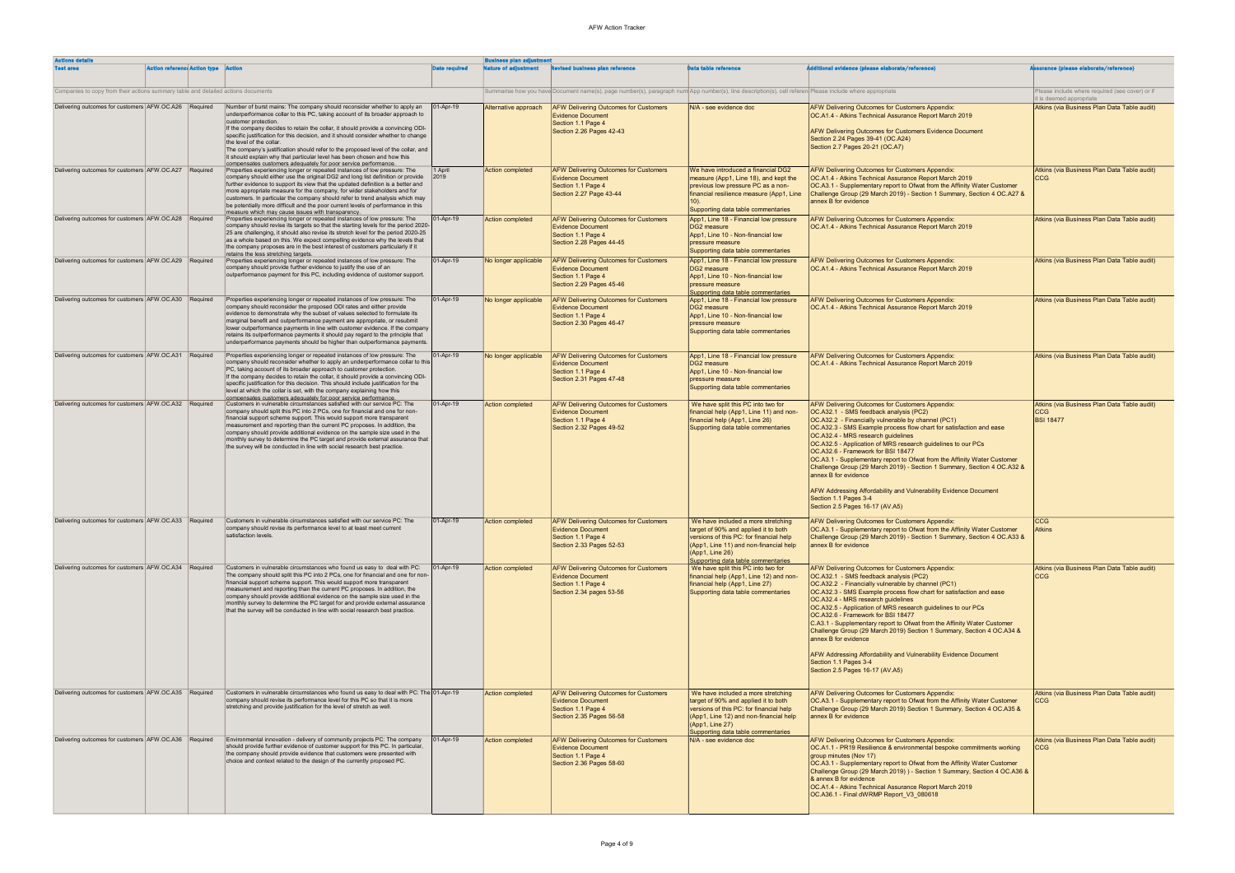| <b>Actions details</b>                                                            |                                                                                                                                                                                                                                                                                                                                                                                                                                                                                                                                                                                                                         |                      | <b>Business plan adjustment</b> |                                                                                                                                                          |                                                                                                                                                                                                                          |                                                                                                                                                                                                                                                                                                                                                                                                                                                                                                                                                                                                                                                                                          |                                                                               |
|-----------------------------------------------------------------------------------|-------------------------------------------------------------------------------------------------------------------------------------------------------------------------------------------------------------------------------------------------------------------------------------------------------------------------------------------------------------------------------------------------------------------------------------------------------------------------------------------------------------------------------------------------------------------------------------------------------------------------|----------------------|---------------------------------|----------------------------------------------------------------------------------------------------------------------------------------------------------|--------------------------------------------------------------------------------------------------------------------------------------------------------------------------------------------------------------------------|------------------------------------------------------------------------------------------------------------------------------------------------------------------------------------------------------------------------------------------------------------------------------------------------------------------------------------------------------------------------------------------------------------------------------------------------------------------------------------------------------------------------------------------------------------------------------------------------------------------------------------------------------------------------------------------|-------------------------------------------------------------------------------|
| <b>Action reference Action type Action</b><br><b>Test area</b>                    |                                                                                                                                                                                                                                                                                                                                                                                                                                                                                                                                                                                                                         | <b>Date required</b> | <b>Nature of adjustment</b>     | <b>Revised business plan reference</b>                                                                                                                   | <b>Data table reference</b>                                                                                                                                                                                              | <b>idditional evidence (please elaborate/reference)</b>                                                                                                                                                                                                                                                                                                                                                                                                                                                                                                                                                                                                                                  | surance (please elaborate/reference)                                          |
| Companies to copy from their actions summary table and detailed actions documents |                                                                                                                                                                                                                                                                                                                                                                                                                                                                                                                                                                                                                         |                      |                                 | Summarise how you have Document name(s), page number(s), paragraph num App number(s), line description(s), cell referen Please include where appropriate |                                                                                                                                                                                                                          |                                                                                                                                                                                                                                                                                                                                                                                                                                                                                                                                                                                                                                                                                          | Please include where required (see cover) or if<br>it is deemed appropriate   |
| Delivering outcomes for customers AFW.OC.A26 Required                             | Number of burst mains: The company should reconsider whether to apply an<br>underperformance collar to this PC, taking account of its broader approach to<br>customer protection.<br>If the company decides to retain the collar, it should provide a convincing ODI-<br>specific justification for this decision, and it should consider whether to change<br>the level of the collar.<br>The company's justification should refer to the proposed level of the collar, and<br>it should explain why that particular level has been chosen and how this                                                                | 01-Apr-19            | Alternative approach            | <b>AFW Delivering Outcomes for Customers</b><br><b>Evidence Document</b><br>Section 1.1 Page 4<br>Section 2.26 Pages 42-43                               | N/A - see evidence doc                                                                                                                                                                                                   | <b>AFW Delivering Outcomes for Customers Appendix:</b><br>OC.A1.4 - Atkins Technical Assurance Report March 2019<br><b>AFW Delivering Outcomes for Customers Evidence Document</b><br>Section 2.24 Pages 39-41 (OC.A24)<br>Section 2.7 Pages 20-21 (OC.A7)                                                                                                                                                                                                                                                                                                                                                                                                                               | Atkins (via Business Plan Data Table audit)                                   |
| Delivering outcomes for customers AFW.OC.A27 Required                             | compensates customers adequately for poor service performance.<br>Properties experiencing longer or repeated instances of low pressure: The<br>company should either use the original DG2 and long list definition or provide<br>further evidence to support its view that the updated definition is a better and<br>more appropriate measure for the company, for wider stakeholders and for<br>customers. In particular the company should refer to trend analysis which may<br>be potentially more difficult and the poor current levels of performance in this<br>measure which mav cause issues with transparency. | 1 April<br>2019      | <b>Action completed</b>         | <b>AFW Delivering Outcomes for Customers</b><br><b>Evidence Document</b><br>Section 1.1 Page 4<br>Section 2.27 Page 43-44                                | We have introduced a financial DG2<br>measure (App1, Line 18), and kept the<br>previous low pressure PC as a non-<br>financial resilience measure (App1, Line<br>Supporting data table commentaries                      | <b>AFW Delivering Outcomes for Customers Appendix:</b><br>OC.A1.4 - Atkins Technical Assurance Report March 2019<br>OC.A3.1 - Supplementary report to Ofwat from the Affinity Water Customer<br>Challenge Group (29 March 2019) - Section 1 Summary, Section 4 OC.A27 &<br>annex B for evidence                                                                                                                                                                                                                                                                                                                                                                                          | Atkins (via Business Plan Data Table audit)<br><b>CCG</b>                     |
| Delivering outcomes for customers AFW.OC.A28 Required                             | Properties experiencing longer or repeated instances of low pressure: The<br>company should revise its targets so that the starting levels for the period 2020-<br>25 are challenging, it should also revise its stretch level for the period 2020-25<br>as a whole based on this. We expect compelling evidence why the levels that<br>the company proposes are in the best interest of customers particularly if it<br>retains the less stretching targets.                                                                                                                                                           | 01-Apr-19            | <b>Action completed</b>         | <b>AFW Delivering Outcomes for Customers</b><br><b>Evidence Document</b><br>Section 1.1 Page 4<br>Section 2.28 Pages 44-45                               | App1, Line 18 - Financial low pressure<br>DG2 measure<br>App1, Line 10 - Non-financial low<br>pressure measure<br>Supporting data table commentaries                                                                     | AFW Delivering Outcomes for Customers Appendix:<br>OC.A1.4 - Atkins Technical Assurance Report March 2019                                                                                                                                                                                                                                                                                                                                                                                                                                                                                                                                                                                | Atkins (via Business Plan Data Table audit)                                   |
| Delivering outcomes for customers AFW.OC.A29 Required                             | Properties experiencing longer or repeated instances of low pressure: The<br>company should provide further evidence to justify the use of an<br>outperformance payment for this PC, including evidence of customer support.                                                                                                                                                                                                                                                                                                                                                                                            | 01-Apr-19            | No longer applicable            | <b>AFW Delivering Outcomes for Customers</b><br><b>Evidence Document</b><br>Section 1.1 Page 4<br>Section 2.29 Pages 45-46                               | App1, Line 18 - Financial low pressure<br>DG2 measure<br>App1, Line 10 - Non-financial low<br><b>pressure</b> measure<br>Supporting data table commentaries                                                              | AFW Delivering Outcomes for Customers Appendix:<br>OC.A1.4 - Atkins Technical Assurance Report March 2019                                                                                                                                                                                                                                                                                                                                                                                                                                                                                                                                                                                | Atkins (via Business Plan Data Table audit)                                   |
| Delivering outcomes for customers AFW.OC.A30 Required                             | Properties experiencing longer or repeated instances of low pressure: The<br>company should reconsider the proposed ODI rates and either provide<br>evidence to demonstrate why the subset of values selected to formulate its<br>marginal benefit and outperformance payment are appropriate, or resubmit<br>lower outperformance payments in line with customer evidence. If the company<br>retains its outperformance payments it should pay regard to the principle that<br>underperformance payments should be higher than outperformance payments                                                                 | 01-Apr-19            | No longer applicable            | <b>AFW Delivering Outcomes for Customers</b><br><b>Evidence Document</b><br>Section 1.1 Page 4<br>Section 2.30 Pages 46-47                               | App1, Line 18 - Financial low pressure<br>DG2 measure<br>App1, Line 10 - Non-financial low<br>pressure measure<br>Supporting data table commentaries                                                                     | <b>AFW Delivering Outcomes for Customers Appendix:</b><br><b>OC.A1.4 - Atkins Technical Assurance Report March 2019</b>                                                                                                                                                                                                                                                                                                                                                                                                                                                                                                                                                                  | Atkins (via Business Plan Data Table audit)                                   |
| Delivering outcomes for customers AFW.OC.A31 Required                             | Properties experiencing longer or repeated instances of low pressure: The<br>company should reconsider whether to apply an underperformance collar to this<br>PC, taking account of its broader approach to customer protection.<br>If the company decides to retain the collar, it should provide a convincing ODI-<br>specific justification for this decision. This should include justification for the<br>level at which the collar is set, with the company explaining how this<br>compensates customers adequately for poor service performance.                                                                 | 01-Apr-19            | No longer applicable            | <b>AFW Delivering Outcomes for Customers</b><br><b>Evidence Document</b><br>Section 1.1 Page 4<br>Section 2.31 Pages 47-48                               | App1, Line 18 - Financial low pressure<br>DG2 measure<br>App1, Line 10 - Non-financial low<br>pressure measure<br>Supporting data table commentaries                                                                     | AFW Delivering Outcomes for Customers Appendix:<br>OC.A1.4 - Atkins Technical Assurance Report March 2019                                                                                                                                                                                                                                                                                                                                                                                                                                                                                                                                                                                | Atkins (via Business Plan Data Table audit)                                   |
| Delivering outcomes for customers AFW.OC.A32 Required                             | Customers in vulnerable circumstances satisfied with our service PC: The<br>company should split this PC into 2 PCs, one for financial and one for non-<br>financial support scheme support. This would support more transparent<br>measurement and reporting than the current PC proposes. In addition, the<br>company should provide additional evidence on the sample size used in the<br>monthly survey to determine the PC target and provide external assurance that<br>the survey will be conducted in line with social research best practice.                                                                  | 01-Apr-19            | Action completed                | <b>AFW Delivering Outcomes for Customers</b><br><b>Evidence Document</b><br>Section 1.1 Page 4<br>Section 2.32 Pages 49-52                               | We have split this PC into two for<br>financial help (App1, Line 11) and non-<br>financial help (App1, Line 26)<br>Supporting data table commentaries                                                                    | AFW Delivering Outcomes for Customers Appendix:<br>OC.A32.1 - SMS feedback analysis (PC2)<br>OC.A32.2 - Financially vulnerable by channel (PC1)<br>OC.A32.3 - SMS Example process flow chart for satisfaction and ease<br>OC.A32.4 - MRS research guidelines<br>OC.A32.5 - Application of MRS research guidelines to our PCs<br>OC.A32.6 - Framework for BSI 18477<br>OC.A3.1 - Supplementary report to Ofwat from the Affinity Water Customer<br>Challenge Group (29 March 2019) - Section 1 Summary, Section 4 OC.A32 &<br>annex B for evidence<br><b>AFW Addressing Affordability and Vulnerability Evidence Document</b><br>Section 1.1 Pages 3-4<br>Section 2.5 Pages 16-17 (AV.A5) | Atkins (via Business Plan Data Table audit)<br><b>CCG</b><br><b>BSI 18477</b> |
|                                                                                   | Delivering outcomes for customers AFW.OC.A33 Required Customers in vulnerable circumstances satisfied with our service PC: The<br>company should revise its performance level to at least meet current<br>satisfaction levels.                                                                                                                                                                                                                                                                                                                                                                                          | 01-Apr-19            | <b>Action completed</b>         | <b>AFW Delivering Outcomes for Customers</b><br><b>Evidence Document</b><br>Section 1.1 Page 4<br>Section 2.33 Pages 52-53                               | We have included a more stretching<br>target of 90% and applied it to both<br>versions of this PC: for financial help<br>(App1, Line 11) and non-financial help<br>(App1, Line 26)<br>Supporting data table commentaries | <b>AFW Delivering Outcomes for Customers Appendix:</b><br>OC.A3.1 - Supplementary report to Ofwat from the Affinity Water Customer<br>Challenge Group (29 March 2019) - Section 1 Summary, Section 4 OC.A33 &<br>annex B for evidence                                                                                                                                                                                                                                                                                                                                                                                                                                                    | <b>CCG</b><br><b>Atkins</b>                                                   |
| Delivering outcomes for customers AFW.OC.A34 Required                             | Customers in vulnerable circumstances who found us easy to deal with PC:<br>The company should split this PC into 2 PCs, one for financial and one for non-<br>financial support scheme support. This would support more transparent<br>measurement and reporting than the current PC proposes. In addition, the<br>company should provide additional evidence on the sample size used in the<br>monthly survey to determine the PC target for and provide external assurance<br>that the survey will be conducted in line with social research best practice.                                                          | 01-Apr-19            | <b>Action completed</b>         | <b>AFW Delivering Outcomes for Customers</b><br><b>Evidence Document</b><br>Section 1.1 Page 4<br>Section 2.34 pages 53-56                               | We have split this PC into two for<br>financial help (App1, Line 12) and non-<br>financial help (App1, Line 27)<br>Supporting data table commentaries                                                                    | AFW Delivering Outcomes for Customers Appendix:<br>OC.A32.1 - SMS feedback analysis (PC2)<br>OC.A32.2 - Financially vulnerable by channel (PC1)<br>OC.A32.3 - SMS Example process flow chart for satisfaction and ease<br>OC.A32.4 - MRS research quidelines<br>OC.A32.5 - Application of MRS research guidelines to our PCs<br>OC.A32.6 - Framework for BSI 18477<br>C.A3.1 - Supplementary report to Ofwat from the Affinity Water Customer<br>Challenge Group (29 March 2019) Section 1 Summary, Section 4 OC.A34 &<br>annex B for evidence<br><b>AFW Addressing Affordability and Vulnerability Evidence Document</b><br>Section 1.1 Pages 3-4<br>Section 2.5 Pages 16-17 (AV.A5)    | Atkins (via Business Plan Data Table audit)<br><b>CCG</b>                     |
| Delivering outcomes for customers AFW.OC.A35 Required                             | Customers in vulnerable circumstances who found us easy to deal with PC: The 01-Apr-19<br>company should revise its performance level for this PC so that it is more<br>stretching and provide justification for the level of stretch as well.                                                                                                                                                                                                                                                                                                                                                                          |                      | Action completed                | <b>AFW Delivering Outcomes for Customers</b><br><b>Evidence Document</b><br>Section 1.1 Page 4<br>Section 2.35 Pages 56-58                               | We have included a more stretching<br>target of 90% and applied it to both<br>versions of this PC: for financial help<br>(App1, Line 12) and non-financial help<br>(App1, Line 27)<br>Supporting data table commentaries | <b>AFW Delivering Outcomes for Customers Appendix:</b><br>OC.A3.1 - Supplementary report to Ofwat from the Affinity Water Customer<br>Challenge Group (29 March 2019) Section 1 Summary, Section 4 OC.A35 &<br>annex B for evidence                                                                                                                                                                                                                                                                                                                                                                                                                                                      | Atkins (via Business Plan Data Table audit)<br><b>CCG</b>                     |
| Delivering outcomes for customers AFW.OC.A36 Required                             | Environmental innovation - delivery of community projects PC: The company<br>should provide further evidence of customer support for this PC. In particular,<br>the company should provide evidence that customers were presented with<br>choice and context related to the design of the currently proposed PC.                                                                                                                                                                                                                                                                                                        | 01-Apr-19            | Action completed                | <b>AFW Delivering Outcomes for Customers</b><br><b>Evidence Document</b><br>Section 1.1 Page 4<br>Section 2.36 Pages 58-60                               | N/A - see evidence doc                                                                                                                                                                                                   | AFW Delivering Outcomes for Customers Appendix:<br>OC.A1.1 - PR19 Resilience & environmental bespoke commitments working<br>group minutes (Nov 17)<br>OC.A3.1 - Supplementary report to Ofwat from the Affinity Water Customer<br>Challenge Group (29 March 2019) ) - Section 1 Summary, Section 4 OC.A36 &<br>8 annex B for evidence<br>OC.A1.4 - Atkins Technical Assurance Report March 2019<br>OC.A36.1 - Final dWRMP Report_V3_080618                                                                                                                                                                                                                                               | Atkins (via Business Plan Data Table audit)<br><b>CCG</b>                     |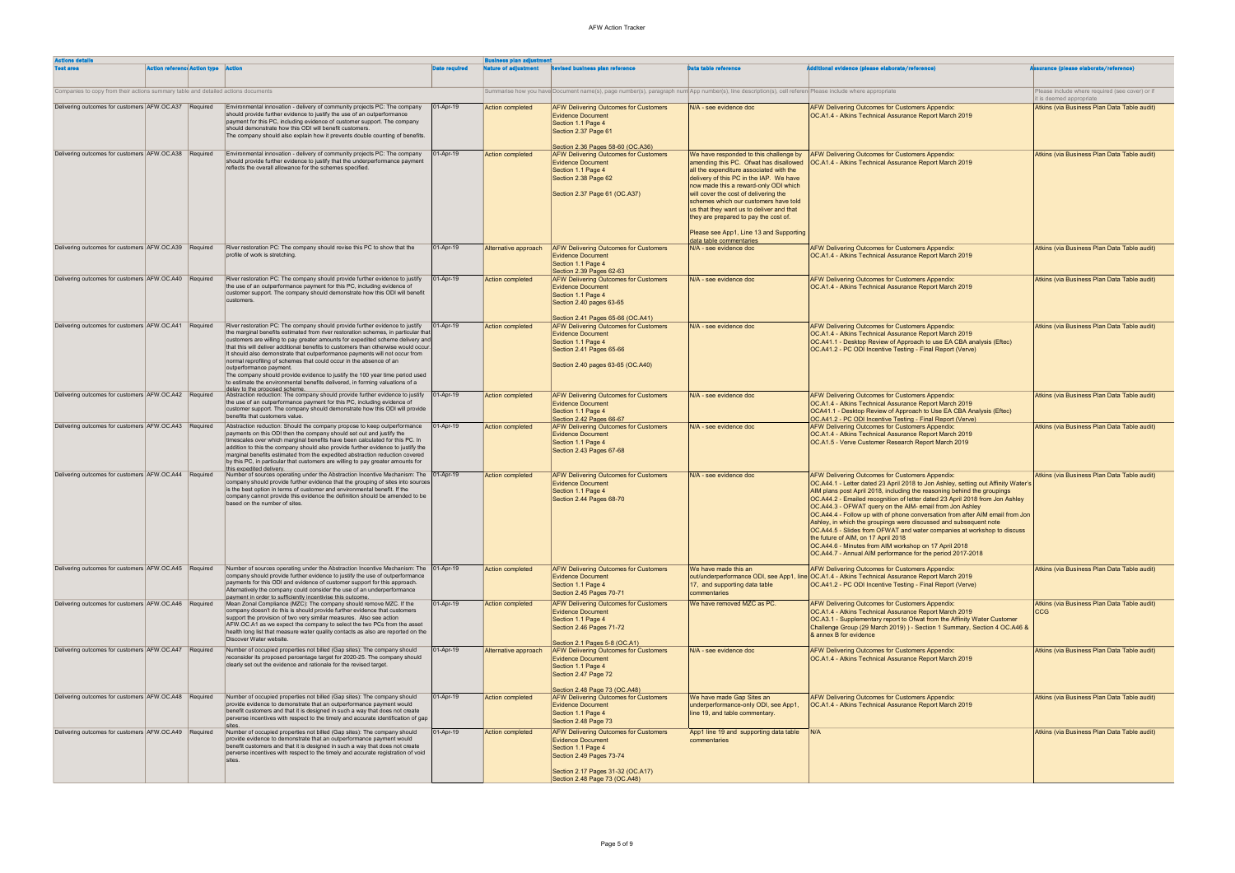| <b>Actions details</b>                                                            |                                            |  | <b>Business plan adjustment</b>                                                                                                                                                                                                                                                                                                                                                                                                                                                                                                                                                                                                                                                             |                      |                             |                                                                                                                                                                                                      |                                                                                                                                                                                                                                                                                                                                               |                                                                                                                                                                                                                                                                                                                                                                                                                                                                                                                                                                                                                                                                                                                                                                   |                                                           |
|-----------------------------------------------------------------------------------|--------------------------------------------|--|---------------------------------------------------------------------------------------------------------------------------------------------------------------------------------------------------------------------------------------------------------------------------------------------------------------------------------------------------------------------------------------------------------------------------------------------------------------------------------------------------------------------------------------------------------------------------------------------------------------------------------------------------------------------------------------------|----------------------|-----------------------------|------------------------------------------------------------------------------------------------------------------------------------------------------------------------------------------------------|-----------------------------------------------------------------------------------------------------------------------------------------------------------------------------------------------------------------------------------------------------------------------------------------------------------------------------------------------|-------------------------------------------------------------------------------------------------------------------------------------------------------------------------------------------------------------------------------------------------------------------------------------------------------------------------------------------------------------------------------------------------------------------------------------------------------------------------------------------------------------------------------------------------------------------------------------------------------------------------------------------------------------------------------------------------------------------------------------------------------------------|-----------------------------------------------------------|
| <b>Test area</b>                                                                  | <b>Action reference Action type Action</b> |  |                                                                                                                                                                                                                                                                                                                                                                                                                                                                                                                                                                                                                                                                                             | <b>Date required</b> | <b>Nature of adjustment</b> | <b>Revised business plan reference</b>                                                                                                                                                               | <b>Data table reference</b>                                                                                                                                                                                                                                                                                                                   | <b>iditional evidence (please elaborate/reference)</b>                                                                                                                                                                                                                                                                                                                                                                                                                                                                                                                                                                                                                                                                                                            | surance (please elaborate/reference)                      |
| Companies to copy from their actions summary table and detailed actions documents |                                            |  |                                                                                                                                                                                                                                                                                                                                                                                                                                                                                                                                                                                                                                                                                             |                      |                             | Summarise how you have Document name(s), page number(s), paragraph num App number(s), line description(s), cell referen Please include where appropriate                                             |                                                                                                                                                                                                                                                                                                                                               |                                                                                                                                                                                                                                                                                                                                                                                                                                                                                                                                                                                                                                                                                                                                                                   | Please include where required (see cover) or if           |
| Delivering outcomes for customers AFW.OC.A37 Required                             |                                            |  | Environmental innovation - delivery of community projects PC: The company                                                                                                                                                                                                                                                                                                                                                                                                                                                                                                                                                                                                                   | 01-Apr-19            |                             |                                                                                                                                                                                                      |                                                                                                                                                                                                                                                                                                                                               |                                                                                                                                                                                                                                                                                                                                                                                                                                                                                                                                                                                                                                                                                                                                                                   | it is deemed appropriate                                  |
|                                                                                   |                                            |  | should provide further evidence to justify the use of an outperformance<br>payment for this PC, including evidence of customer support. The company<br>should demonstrate how this ODI will benefit customers.<br>The company should also explain how it prevents double counting of benefits.                                                                                                                                                                                                                                                                                                                                                                                              |                      | <b>Action completed</b>     | <b>AFW Delivering Outcomes for Customers</b><br><b>Evidence Document</b><br>Section 1.1 Page 4<br>Section 2.37 Page 61<br>Section 2.36 Pages 58-60 (OC.A36)                                          | N/A - see evidence doc                                                                                                                                                                                                                                                                                                                        | <b>AFW Delivering Outcomes for Customers Appendix:</b><br>OC.A1.4 - Atkins Technical Assurance Report March 2019                                                                                                                                                                                                                                                                                                                                                                                                                                                                                                                                                                                                                                                  | Atkins (via Business Plan Data Table audit)               |
| Delivering outcomes for customers AFW.OC.A38 Required                             |                                            |  | Environmental innovation - delivery of community projects PC: The company<br>should provide further evidence to justify that the underperformance payment<br>reflects the overall allowance for the schemes specified.                                                                                                                                                                                                                                                                                                                                                                                                                                                                      | 01-Apr-19            | Action completed            | <b>AFW Delivering Outcomes for Customers</b><br><b>Evidence Document</b><br>Section 1.1 Page 4<br>Section 2.38 Page 62<br>Section 2.37 Page 61 (OC.A37)                                              | We have responded to this challenge by<br>amending this PC. Ofwat has disallowed<br>all the expenditure associated with the<br>delivery of this PC in the IAP. We have<br>now made this a reward-only ODI which<br>will cover the cost of delivering the<br>schemes which our customers have told<br>us that they want us to deliver and that | AFW Delivering Outcomes for Customers Appendix:<br>OC.A1.4 - Atkins Technical Assurance Report March 2019                                                                                                                                                                                                                                                                                                                                                                                                                                                                                                                                                                                                                                                         | Atkins (via Business Plan Data Table audit)               |
|                                                                                   |                                            |  |                                                                                                                                                                                                                                                                                                                                                                                                                                                                                                                                                                                                                                                                                             |                      |                             |                                                                                                                                                                                                      | they are prepared to pay the cost of.<br>Please see App1, Line 13 and Supporting<br>data table commentaries                                                                                                                                                                                                                                   |                                                                                                                                                                                                                                                                                                                                                                                                                                                                                                                                                                                                                                                                                                                                                                   |                                                           |
| Delivering outcomes for customers AFW.OC.A39 Required                             |                                            |  | River restoration PC: The company should revise this PC to show that the<br>profile of work is stretching.                                                                                                                                                                                                                                                                                                                                                                                                                                                                                                                                                                                  | 01-Apr-19            | Alternative approach        | <b>AFW Delivering Outcomes for Customers</b><br><b>Evidence Document</b><br>Section 1.1 Page 4<br>Section 2.39 Pages 62-63                                                                           | N/A - see evidence doc                                                                                                                                                                                                                                                                                                                        | <b>AFW Delivering Outcomes for Customers Appendix:</b><br>OC.A1.4 - Atkins Technical Assurance Report March 2019                                                                                                                                                                                                                                                                                                                                                                                                                                                                                                                                                                                                                                                  | Atkins (via Business Plan Data Table audit)               |
| Delivering outcomes for customers AFW.OC.A40 Required                             |                                            |  | River restoration PC: The company should provide further evidence to justify<br>the use of an outperformance payment for this PC, including evidence of<br>customer support. The company should demonstrate how this ODI will benefit<br>customers.                                                                                                                                                                                                                                                                                                                                                                                                                                         | 01-Apr-19            | <b>Action completed</b>     | <b>AFW Delivering Outcomes for Customers</b><br><b>Evidence Document</b><br>Section 1.1 Page 4<br>Section 2.40 pages 63-65                                                                           | N/A - see evidence doc                                                                                                                                                                                                                                                                                                                        | <b>AFW Delivering Outcomes for Customers Appendix:</b><br>OC.A1.4 - Atkins Technical Assurance Report March 2019                                                                                                                                                                                                                                                                                                                                                                                                                                                                                                                                                                                                                                                  | Atkins (via Business Plan Data Table audit)               |
| Delivering outcomes for customers AFW.OC.A41 Required                             |                                            |  | River restoration PC: The company should provide further evidence to justify<br>the marginal benefits estimated from river restoration schemes, in particular that<br>customers are willing to pay greater amounts for expedited scheme delivery and<br>that this will deliver additional benefits to customers than otherwise would occur.<br>It should also demonstrate that outperformance payments will not occur from<br>normal reprofiling of schemes that could occur in the absence of an<br>outperformance payment<br>The company should provide evidence to justify the 100 year time period used<br>to estimate the environmental benefits delivered, in forming valuations of a | $ 01-Apr-19 $        | <b>Action completed</b>     | Section 2.41 Pages 65-66 (OC.A41)<br><b>AFW Delivering Outcomes for Customers</b><br><b>Evidence Document</b><br>Section 1.1 Page 4<br>Section 2.41 Pages 65-66<br>Section 2.40 pages 63-65 (OC.A40) | N/A - see evidence doc                                                                                                                                                                                                                                                                                                                        | <b>AFW Delivering Outcomes for Customers Appendix:</b><br>OC.A1.4 - Atkins Technical Assurance Report March 2019<br>OC.A41.1 - Desktop Review of Approach to use EA CBA analysis (Eftec)<br>OC.A41.2 - PC ODI Incentive Testing - Final Report (Verve)                                                                                                                                                                                                                                                                                                                                                                                                                                                                                                            | Atkins (via Business Plan Data Table audit)               |
| Delivering outcomes for customers AFW.OC.A42 Required                             |                                            |  | delay to the proposed scheme.<br>Abstraction reduction: The company should provide further evidence to justify   01-Apr-19<br>the use of an outperformance payment for this PC, including evidence of<br>customer support. The company should demonstrate how this ODI will provide<br>benefits that customers value.                                                                                                                                                                                                                                                                                                                                                                       |                      | <b>Action completed</b>     | <b>AFW Delivering Outcomes for Customers</b><br><b>Evidence Document</b><br>Section 1.1 Page 4<br>Section 2.42 Pages 66-67                                                                           | N/A - see evidence doc                                                                                                                                                                                                                                                                                                                        | AFW Delivering Outcomes for Customers Appendix:<br>OC.A1.4 - Atkins Technical Assurance Report March 2019<br>OCA41.1 - Desktop Review of Approach to Use EA CBA Analysis (Eftec)<br>OC.A41.2 - PC ODI Incentive Testing - Final Report (Verve)                                                                                                                                                                                                                                                                                                                                                                                                                                                                                                                    | Atkins (via Business Plan Data Table audit)               |
| Delivering outcomes for customers AFW.OC.A43 Required                             |                                            |  | Abstraction reduction: Should the company propose to keep outperformance<br>payments on this ODI then the company should set out and justify the<br>timescales over which marginal benefits have been calculated for this PC. In<br>addition to this the company should also provide further evidence to justify the<br>marginal benefits estimated from the expedited abstraction reduction covered<br>by this PC, in particular that customers are willing to pay greater amounts for<br>this expedited delivery.                                                                                                                                                                         | 01-Apr-19            | Action completed            | <b>AFW Delivering Outcomes for Customers</b><br><b>Evidence Document</b><br>Section 1.1 Page 4<br>Section 2.43 Pages 67-68                                                                           | N/A - see evidence doc                                                                                                                                                                                                                                                                                                                        | <b>AFW Delivering Outcomes for Customers Appendix:</b><br>OC.A1.4 - Atkins Technical Assurance Report March 2019<br>OC.A1.5 - Verve Customer Research Report March 2019                                                                                                                                                                                                                                                                                                                                                                                                                                                                                                                                                                                           | Atkins (via Business Plan Data Table audit)               |
| Delivering outcomes for customers AFW.OC.A44 Required                             |                                            |  | Number of sources operating under the Abstraction Incentive Mechanism: The   01-Apr-19<br>company should provide further evidence that the grouping of sites into sources<br>is the best option in terms of customer and environmental benefit. If the<br>company cannot provide this evidence the definition should be amended to be<br>based on the number of sites.                                                                                                                                                                                                                                                                                                                      |                      | Action completed            | <b>AFW Delivering Outcomes for Customers</b><br><b>Evidence Document</b><br>Section 1.1 Page 4<br>Section 2.44 Pages 68-70                                                                           | N/A - see evidence doc                                                                                                                                                                                                                                                                                                                        | AFW Delivering Outcomes for Customers Appendix:<br>OC.A44.1 - Letter dated 23 April 2018 to Jon Ashley, setting out Affinity Water's<br>AIM plans post April 2018, including the reasoning behind the groupings<br>OC.A44.2 - Emailed recognition of letter dated 23 April 2018 from Jon Ashley<br>OC.A44.3 - OFWAT query on the AIM- email from Jon Ashley<br><b>OC.A44.4 - Follow up with of phone conversation from after AIM email from Jon</b><br>Ashley, in which the groupings were discussed and subsequent note<br>OC.A44.5 - Slides from OFWAT and water companies at workshop to discuss<br>the future of AIM, on 17 April 2018<br>OC.A44.6 - Minutes from AIM workshop on 17 April 2018<br>OC.A44.7 - Annual AIM performance for the period 2017-2018 | Atkins (via Business Plan Data Table audit)               |
| Delivering outcomes for customers AFW.OC.A45 Required                             |                                            |  | Number of sources operating under the Abstraction Incentive Mechanism: The 01-Apr-19<br>company should provide further evidence to justify the use of outperformance<br>payments for this ODI and evidence of customer support for this approach.<br>Alternatively the company could consider the use of an underperformance<br>payment in order to sufficiently incentivise this outcome.                                                                                                                                                                                                                                                                                                  |                      | <b>Action completed</b>     | <b>AFW Delivering Outcomes for Customers</b><br><b>Evidence Document</b><br>Section 1.1 Page 4<br>Section 2.45 Pages 70-71                                                                           | We have made this an<br>out/underperformance ODI, see App1, line<br>17, and supporting data table<br>commentaries                                                                                                                                                                                                                             | AFW Delivering Outcomes for Customers Appendix:<br>OC.A1.4 - Atkins Technical Assurance Report March 2019<br>OC.A41.2 - PC ODI Incentive Testing - Final Report (Verve)                                                                                                                                                                                                                                                                                                                                                                                                                                                                                                                                                                                           | Atkins (via Business Plan Data Table audit)               |
| Delivering outcomes for customers AFW.OC.A46 Required                             |                                            |  | Mean Zonal Compliance (MZC): The company should remove MZC. If the<br>company doesn't do this is should provide further evidence that customers<br>support the provision of two very similar measures. Also see action<br>AFW.OC.A1 as we expect the company to select the two PCs from the asset<br>health long list that measure water quality contacts as also are reported on the<br>Discover Water website.                                                                                                                                                                                                                                                                            | 01-Apr-19            | Action completed            | <b>AFW Delivering Outcomes for Customers</b><br><b>Evidence Document</b><br>Section 1.1 Page 4<br>Section 2.46 Pages 71-72<br>Section 2.1 Pages 5-8 (OC.A1)                                          | We have removed MZC as PC.                                                                                                                                                                                                                                                                                                                    | AFW Delivering Outcomes for Customers Appendix:<br>OC.A1.4 - Atkins Technical Assurance Report March 2019<br>OC.A3.1 - Supplementary report to Ofwat from the Affinity Water Customer<br>Challenge Group (29 March 2019) ) - Section 1 Summary, Section 4 OC.A46 &<br>& annex B for evidence                                                                                                                                                                                                                                                                                                                                                                                                                                                                      | Atkins (via Business Plan Data Table audit)<br><b>CCG</b> |
| Delivering outcomes for customers AFW.OC.A47 Required                             |                                            |  | Number of occupied properties not billed (Gap sites): The company should<br>reconsider its proposed percentage target for 2020-25. The company should<br>clearly set out the evidence and rationale for the revised target.                                                                                                                                                                                                                                                                                                                                                                                                                                                                 | 01-Apr-19            | Alternative approach        | <b>AFW Delivering Outcomes for Customers</b><br><b>Evidence Document</b><br>Section 1.1 Page 4<br>Section 2.47 Page 72                                                                               | N/A - see evidence doc                                                                                                                                                                                                                                                                                                                        | AFW Delivering Outcomes for Customers Appendix:<br>OC.A1.4 - Atkins Technical Assurance Report March 2019                                                                                                                                                                                                                                                                                                                                                                                                                                                                                                                                                                                                                                                         | Atkins (via Business Plan Data Table audit)               |
| Delivering outcomes for customers AFW.OC.A48 Required                             |                                            |  | Number of occupied properties not billed (Gap sites): The company should<br>provide evidence to demonstrate that an outperformance payment would<br>benefit customers and that it is designed in such a way that does not create<br>perverse incentives with respect to the timely and accurate identification of gap                                                                                                                                                                                                                                                                                                                                                                       | 01-Apr-19            | Action completed            | Section 2.48 Page 73 (OC.A48)<br><b>AFW Delivering Outcomes for Customers</b><br><b>Evidence Document</b><br>Section 1.1 Page 4<br>Section 2.48 Page 73                                              | We have made Gap Sites an<br>underperformance-only ODI, see App1,<br>line 19, and table commentary.                                                                                                                                                                                                                                           | AFW Delivering Outcomes for Customers Appendix:<br>OC.A1.4 - Atkins Technical Assurance Report March 2019                                                                                                                                                                                                                                                                                                                                                                                                                                                                                                                                                                                                                                                         | Atkins (via Business Plan Data Table audit)               |
| Delivering outcomes for customers AFW.OC.A49 Required                             |                                            |  | Number of occupied properties not billed (Gap sites): The company should<br>provide evidence to demonstrate that an outperformance payment would<br>benefit customers and that it is designed in such a way that does not create<br>perverse incentives with respect to the timely and accurate registration of void                                                                                                                                                                                                                                                                                                                                                                        | 01-Apr-19            | Action completed            | <b>AFW Delivering Outcomes for Customers</b><br><b>Evidence Document</b><br>Section 1.1 Page 4<br>Section 2.49 Pages 73-74<br>Section 2.17 Pages 31-32 (OC.A17)<br>Section 2.48 Page 73 (OC.A48)     | App1 line 19 and supporting data table<br>commentaries                                                                                                                                                                                                                                                                                        | IN/A                                                                                                                                                                                                                                                                                                                                                                                                                                                                                                                                                                                                                                                                                                                                                              | Atkins (via Business Plan Data Table audit)               |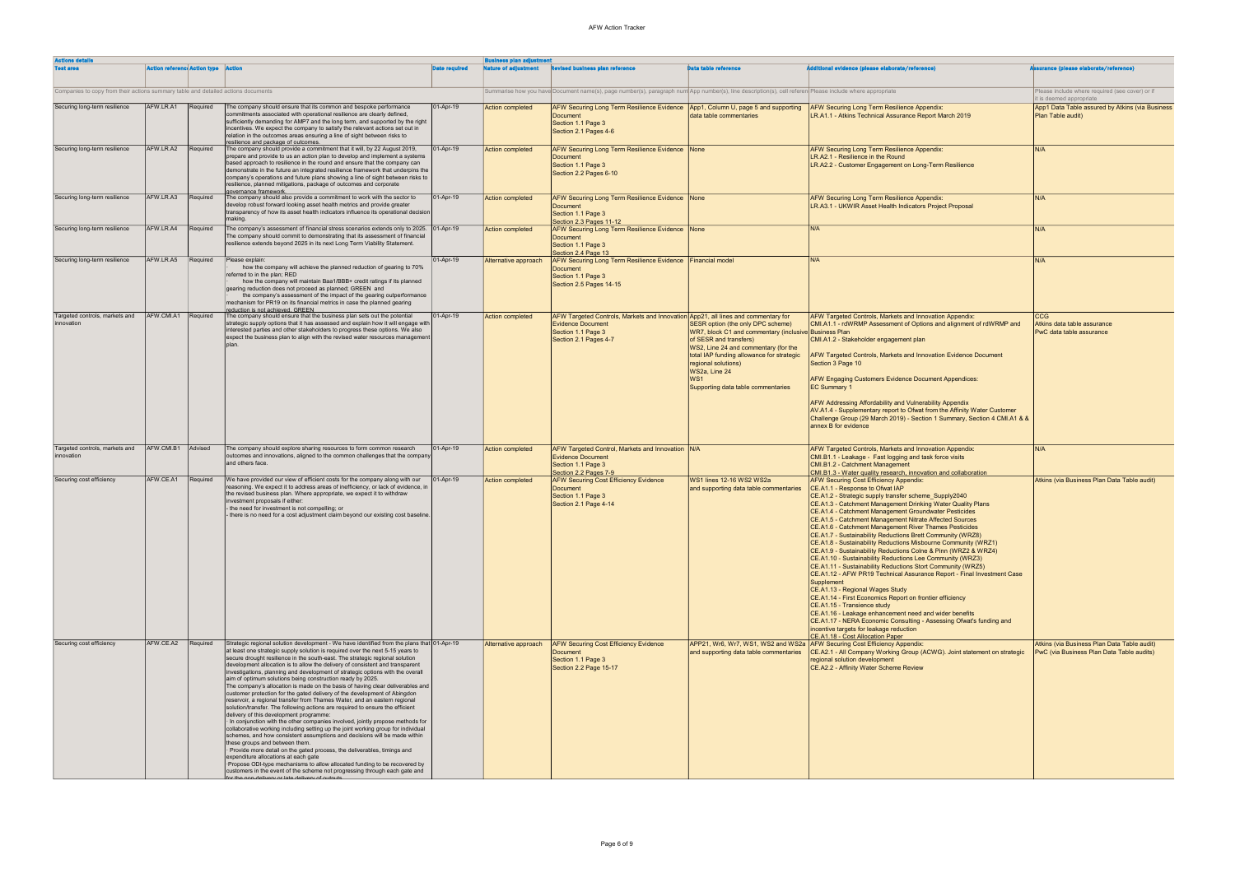| <b>Actions details</b>                                                            |                                            |          |                                                                                                                                                                                                                                                                                                                                                                                                                                                                                                                                                                                                                                                                                                                                                                                                                                                                                                                                                                                                                                                                                                                                                                                                                                                                                                                                                                                                                                                                                                 |                      | lusiness plan adjustment    |                                                                                                                                                              |                                                                                                                                                                                                                                                                                                            |                                                                                                                                                                                                                                                                                                                                                                                                                                                                                                                                                                                                                                                                                                                                                                                                                                                                                                                                                                                                                                                                                                                                                            |                                                                                          |
|-----------------------------------------------------------------------------------|--------------------------------------------|----------|-------------------------------------------------------------------------------------------------------------------------------------------------------------------------------------------------------------------------------------------------------------------------------------------------------------------------------------------------------------------------------------------------------------------------------------------------------------------------------------------------------------------------------------------------------------------------------------------------------------------------------------------------------------------------------------------------------------------------------------------------------------------------------------------------------------------------------------------------------------------------------------------------------------------------------------------------------------------------------------------------------------------------------------------------------------------------------------------------------------------------------------------------------------------------------------------------------------------------------------------------------------------------------------------------------------------------------------------------------------------------------------------------------------------------------------------------------------------------------------------------|----------------------|-----------------------------|--------------------------------------------------------------------------------------------------------------------------------------------------------------|------------------------------------------------------------------------------------------------------------------------------------------------------------------------------------------------------------------------------------------------------------------------------------------------------------|------------------------------------------------------------------------------------------------------------------------------------------------------------------------------------------------------------------------------------------------------------------------------------------------------------------------------------------------------------------------------------------------------------------------------------------------------------------------------------------------------------------------------------------------------------------------------------------------------------------------------------------------------------------------------------------------------------------------------------------------------------------------------------------------------------------------------------------------------------------------------------------------------------------------------------------------------------------------------------------------------------------------------------------------------------------------------------------------------------------------------------------------------------|------------------------------------------------------------------------------------------|
| <b>Test area</b>                                                                  | <b>Action reference Action type Action</b> |          |                                                                                                                                                                                                                                                                                                                                                                                                                                                                                                                                                                                                                                                                                                                                                                                                                                                                                                                                                                                                                                                                                                                                                                                                                                                                                                                                                                                                                                                                                                 | <b>Date required</b> | <b>Nature of adjustment</b> | <b>Revised business plan reference</b>                                                                                                                       | <b>Data table reference</b>                                                                                                                                                                                                                                                                                | <b>Additional evidence (please elaborate/reference)</b>                                                                                                                                                                                                                                                                                                                                                                                                                                                                                                                                                                                                                                                                                                                                                                                                                                                                                                                                                                                                                                                                                                    | ssurance (please elaborate/reference)                                                    |
| Companies to copy from their actions summary table and detailed actions documents |                                            |          |                                                                                                                                                                                                                                                                                                                                                                                                                                                                                                                                                                                                                                                                                                                                                                                                                                                                                                                                                                                                                                                                                                                                                                                                                                                                                                                                                                                                                                                                                                 |                      |                             | Summarise how you have Document name(s), page number(s), paragraph num App number(s), line description(s), cell referen Please include where appropriate     |                                                                                                                                                                                                                                                                                                            |                                                                                                                                                                                                                                                                                                                                                                                                                                                                                                                                                                                                                                                                                                                                                                                                                                                                                                                                                                                                                                                                                                                                                            | Please include where required (see cover) or if<br>it is deemed appropriate              |
| Securing long-term resilience                                                     | AFW.LR.A1                                  | Required | The company should ensure that its common and bespoke performance<br>commitments associated with operational resilience are clearly defined.<br>sufficiently demanding for AMP7 and the long term, and supported by the right<br>incentives. We expect the company to satisfy the relevant actions set out in<br>relation in the outcomes areas ensuring a line of sight between risks to                                                                                                                                                                                                                                                                                                                                                                                                                                                                                                                                                                                                                                                                                                                                                                                                                                                                                                                                                                                                                                                                                                       | 01-Apr-19            | <b>Action completed</b>     | AFW Securing Long Term Resilience Evidence   App1, Column U, page 5 and supporting<br>Document<br>Section 1.1 Page 3<br>Section 2.1 Pages 4-6                | data table commentaries                                                                                                                                                                                                                                                                                    | <b>AFW Securing Long Term Resilience Appendix:</b><br>LR.A1.1 - Atkins Technical Assurance Report March 2019                                                                                                                                                                                                                                                                                                                                                                                                                                                                                                                                                                                                                                                                                                                                                                                                                                                                                                                                                                                                                                               | App1 Data Table assured by Atkins (via Business<br>Plan Table audit)                     |
| Securing long-term resilience                                                     | AFW.LR.A2                                  | Required | resilience and package of outcomes.<br>The company should provide a commitment that it will, by 22 August 2019,<br>prepare and provide to us an action plan to develop and implement a systems<br>based approach to resilience in the round and ensure that the company can<br>demonstrate in the future an integrated resilience framework that underpins the<br>company's operations and future plans showing a line of sight between risks to<br>resilience, planned mitigations, package of outcomes and corporate<br>governance framework                                                                                                                                                                                                                                                                                                                                                                                                                                                                                                                                                                                                                                                                                                                                                                                                                                                                                                                                                  | 01-Apr-19            | <b>Action completed</b>     | AFW Securing Long Term Resilience Evidence None<br>Document<br>Section 1.1 Page 3<br>Section 2.2 Pages 6-10                                                  |                                                                                                                                                                                                                                                                                                            | <b>AFW Securing Long Term Resilience Appendix:</b><br>LR.A2.1 - Resilience in the Round<br>LR.A2.2 - Customer Engagement on Long-Term Resilience                                                                                                                                                                                                                                                                                                                                                                                                                                                                                                                                                                                                                                                                                                                                                                                                                                                                                                                                                                                                           | IN/A                                                                                     |
| Securing long-term resilience                                                     | AFW.LR.A3                                  | Required | The company should also provide a commitment to work with the sector to<br>develop robust forward looking asset health metrics and provide greater<br>transparency of how its asset health indicators influence its operational decision<br>making.                                                                                                                                                                                                                                                                                                                                                                                                                                                                                                                                                                                                                                                                                                                                                                                                                                                                                                                                                                                                                                                                                                                                                                                                                                             | 01-Apr-19            | <b>Action completed</b>     | AFW Securing Long Term Resilience Evidence None<br><b>Document</b><br>Section 1.1 Page 3<br>Section 2.3 Pages 11-12                                          |                                                                                                                                                                                                                                                                                                            | <b>AFW Securing Long Term Resilience Appendix:</b><br>LR.A3.1 - UKWIR Asset Health Indicators Project Proposal                                                                                                                                                                                                                                                                                                                                                                                                                                                                                                                                                                                                                                                                                                                                                                                                                                                                                                                                                                                                                                             | IN/A                                                                                     |
| Securing long-term resilience                                                     | AFW.LR.A4                                  | Required | The company's assessment of financial stress scenarios extends only to 2025.<br>The company should commit to demonstrating that its assessment of financial<br>resilience extends beyond 2025 in its next Long Term Viability Statement.                                                                                                                                                                                                                                                                                                                                                                                                                                                                                                                                                                                                                                                                                                                                                                                                                                                                                                                                                                                                                                                                                                                                                                                                                                                        | 01-Apr-19            | <b>Action completed</b>     | AFW Securing Long Term Resilience Evidence None<br><b>Document</b><br>Section 1.1 Page 3<br>Section 2.4 Page 13                                              |                                                                                                                                                                                                                                                                                                            | IN/A                                                                                                                                                                                                                                                                                                                                                                                                                                                                                                                                                                                                                                                                                                                                                                                                                                                                                                                                                                                                                                                                                                                                                       | N/A                                                                                      |
| Securing long-term resilience                                                     | AFW.LR.A5                                  | Required | Please explain:<br>how the company will achieve the planned reduction of gearing to 70%<br>referred to in the plan; RED<br>how the company will maintain Baa1/BBB+ credit ratings if its planned<br>gearing reduction does not proceed as planned; GREEN and<br>the company's assessment of the impact of the gearing outperformance<br>mechanism for PR19 on its financial metrics in case the planned gearing                                                                                                                                                                                                                                                                                                                                                                                                                                                                                                                                                                                                                                                                                                                                                                                                                                                                                                                                                                                                                                                                                 | 01-Apr-19            | Alternative approach        | AFW Securing Long Term Resilience Evidence Financial model<br>Document<br>Section 1.1 Page 3<br>Section 2.5 Pages 14-15                                      |                                                                                                                                                                                                                                                                                                            | N/A                                                                                                                                                                                                                                                                                                                                                                                                                                                                                                                                                                                                                                                                                                                                                                                                                                                                                                                                                                                                                                                                                                                                                        | IN/A                                                                                     |
| Targeted controls, markets and<br>innovation                                      | AFW.CMI.A1                                 | Required | reduction is not achieved. GREEN<br>The company should ensure that the business plan sets out the potential<br>strategic supply options that it has assessed and explain how it will engage with<br>interested parties and other stakeholders to progress these options. We also<br>expect the business plan to align with the revised water resources management<br>Inlar                                                                                                                                                                                                                                                                                                                                                                                                                                                                                                                                                                                                                                                                                                                                                                                                                                                                                                                                                                                                                                                                                                                      | 01-Apr-19            | <b>Action completed</b>     | AFW Targeted Controls, Markets and Innovation App21, all lines and commentary for<br><b>Evidence Document</b><br>Section 1.1 Page 3<br>Section 2.1 Pages 4-7 | SESR option (the only DPC scheme)<br>WR7, block C1 and commentary (inclusive Business Plan<br>of SESR and transfers)<br>WS2, Line 24 and commentary (for the<br>total IAP funding allowance for strategic<br>regional solutions)<br>WS2a, Line 24<br>WS <sub>1</sub><br>Supporting data table commentaries | <b>AFW Targeted Controls, Markets and Innovation Appendix:</b><br>CMI.A1.1 - rdWRMP Assessment of Options and alignment of rdWRMP and<br>CMI.A1.2 - Stakeholder engagement plan<br>AFW Targeted Controls, Markets and Innovation Evidence Document<br>Section 3 Page 10<br>AFW Engaging Customers Evidence Document Appendices:<br><b>EC Summary 1</b><br><b>AFW Addressing Affordability and Vulnerability Appendix</b><br>AV.A1.4 - Supplementary report to Ofwat from the Affinity Water Customer<br>Challenge Group (29 March 2019) - Section 1 Summary, Section 4 CMI.A1 & &<br>annex B for evidence                                                                                                                                                                                                                                                                                                                                                                                                                                                                                                                                                  | <b>CCG</b><br>Atkins data table assurance<br>PwC data table assurance                    |
| Targeted controls, markets and<br>innovation                                      | AFW.CMI.B1                                 | Advised  | The company should explore sharing resources to form common research<br>outcomes and innovations, aligned to the common challenges that the company<br>and others face.                                                                                                                                                                                                                                                                                                                                                                                                                                                                                                                                                                                                                                                                                                                                                                                                                                                                                                                                                                                                                                                                                                                                                                                                                                                                                                                         | $ 01 - Apr-19 $      | Action completed            | AFW Targeted Control, Markets and Innovation   N/A<br><b>Evidence Document</b><br>Section 1.1 Page 3<br>Section 2.2 Pages 7-9                                |                                                                                                                                                                                                                                                                                                            | <b>AFW Targeted Controls, Markets and Innovation Appendix:</b><br>CMI.B1.1 - Leakage - Fast logging and task force visits<br>CMI.B1.2 - Catchment Management<br>CMI.B1.3 - Water quality research, innovation and collaboration                                                                                                                                                                                                                                                                                                                                                                                                                                                                                                                                                                                                                                                                                                                                                                                                                                                                                                                            | IN/A                                                                                     |
| Securing cost efficiency                                                          | AFW.CE.A1                                  | Required | We have provided our view of efficient costs for the company along with our<br>reasoning. We expect it to address areas of inefficiency, or lack of evidence, in<br>the revised business plan. Where appropriate, we expect it to withdraw<br>investment proposals if either:<br>- the need for investment is not compelling; or<br>- there is no need for a cost adjustment claim beyond our existing cost baseline.                                                                                                                                                                                                                                                                                                                                                                                                                                                                                                                                                                                                                                                                                                                                                                                                                                                                                                                                                                                                                                                                           | 01-Apr-19            | Action completed            | <b>AFW Securing Cost Efficiency Evidence</b><br>Document<br>Section 1.1 Page 3<br>Section 2.1 Page 4-14                                                      | WS1 lines 12-16 WS2 WS2a<br>and supporting data table commentaries                                                                                                                                                                                                                                         | <b>AFW Securing Cost Efficiency Appendix:</b><br>CE.A1.1 - Response to Ofwat IAP<br>CE.A1.2 - Strategic supply transfer scheme Supply2040<br>CE.A1.3 - Catchment Management Drinking Water Quality Plans<br>CE.A1.4 - Catchment Management Groundwater Pesticides<br>CE.A1.5 - Catchment Management Nitrate Affected Sources<br>CE.A1.6 - Catchment Management River Thames Pesticides<br>CE.A1.7 - Sustainability Reductions Brett Community (WRZ8)<br>CE.A1.8 - Sustainability Reductions Misbourne Community (WRZ1)<br>CE.A1.9 - Sustainability Reductions Colne & Pinn (WRZ2 & WRZ4)<br>CE.A1.10 - Sustainability Reductions Lee Community (WRZ3)<br>CE.A1.11 - Sustainability Reductions Stort Community (WRZ5)<br>CE.A1.12 - AFW PR19 Technical Assurance Report - Final Investment Case<br>Supplement<br>CE.A1.13 - Regional Wages Study<br>CE.A1.14 - First Economics Report on frontier efficiency<br>CE.A1.15 - Transience study<br>CE.A1.16 - Leakage enhancement need and wider benefits<br>CE.A1.17 - NERA Economic Consulting - Assessing Ofwat's funding and<br>incentive targets for leakage reduction<br>CE.A1.18 - Cost Allocation Paper | Atkins (via Business Plan Data Table audit)                                              |
| Securing cost efficiency                                                          | AFW.CE.A2                                  | Required | Strategic regional solution development - We have identified from the plans that 01-Apr-19<br>at least one strategic supply solution is required over the next 5-15 years to<br>secure drought resilience in the south-east. The strategic regional solution<br>development allocation is to allow the delivery of consistent and transparent<br>investigations, planning and development of strategic options with the overall<br>aim of optimum solutions being construction ready by 2025.<br>The company's allocation is made on the basis of having clear deliverables and<br>customer protection for the gated delivery of the development of Abingdon<br>reservoir, a regional transfer from Thames Water, and an eastern regional<br>solution/transfer. The following actions are required to ensure the efficient<br>delivery of this development programme:<br>· In conjunction with the other companies involved, jointly propose methods for<br>collaborative working including setting up the joint working group for individual<br>schemes, and how consistent assumptions and decisions will be made within<br>these groups and between them.<br>· Provide more detail on the gated process, the deliverables, timings and<br>expenditure allocations at each gate<br>Propose ODI-type mechanisms to allow allocated funding to be recovered by<br>customers in the event of the scheme not progressing through each gate and<br>or the non-delivery or late delivery of outpute |                      | Alternative approach        | <b>AFW Securing Cost Efficiency Evidence</b><br>Document<br>Section 1.1 Page 3<br>Section 2.2 Page 15-17                                                     | APP21, Wr6, Wr7, WS1, WS2 and WS2a AFW Securing Cost Efficiency Appendix:<br>and supporting data table commentaries                                                                                                                                                                                        | CE.A2.1 - All Company Working Group (ACWG). Joint statement on strategic<br>regional solution development<br>CE.A2.2 - Affinity Water Scheme Review                                                                                                                                                                                                                                                                                                                                                                                                                                                                                                                                                                                                                                                                                                                                                                                                                                                                                                                                                                                                        | Atkins (via Business Plan Data Table audit)<br>PwC (via Business Plan Data Table audits) |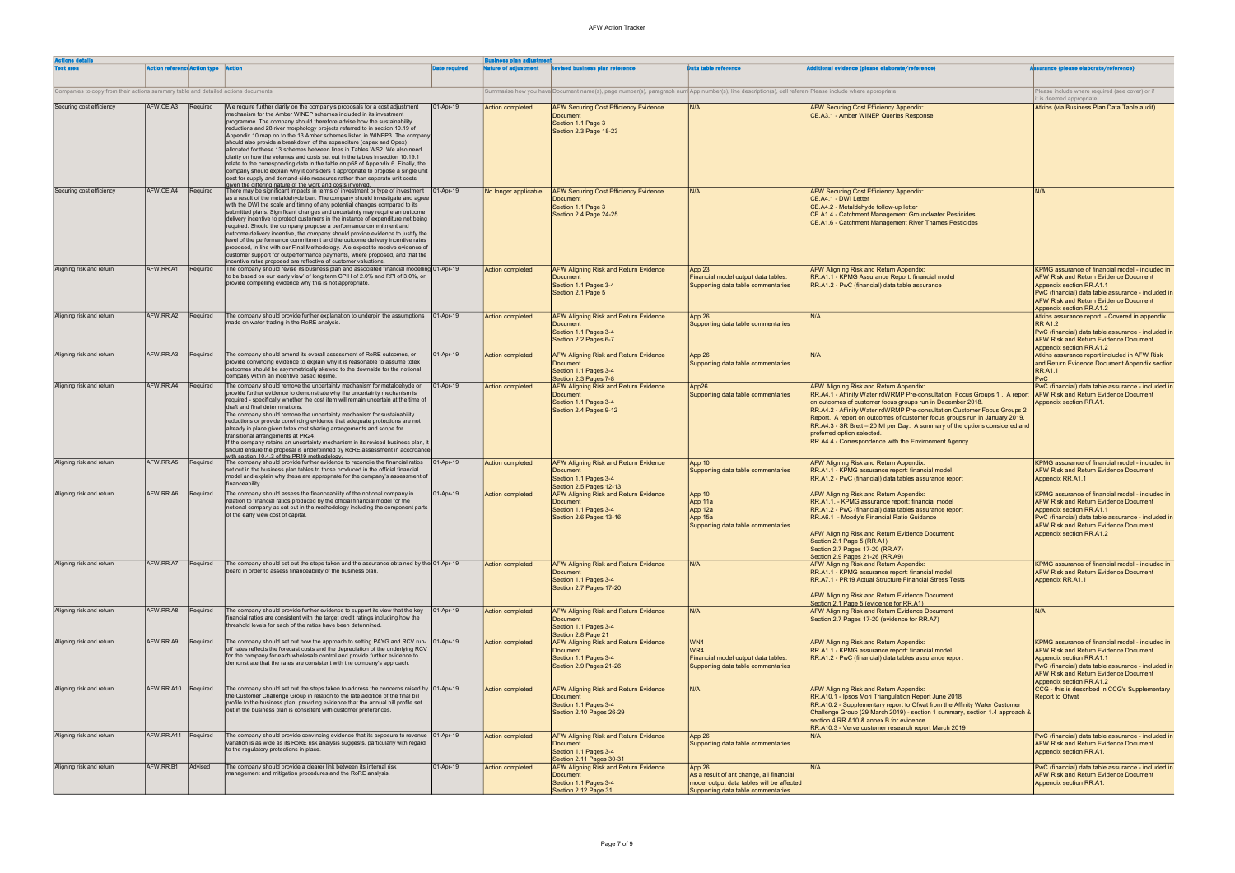| <b>Actions details</b>                                                            |                                     |          |                                                                                                                                                                                                                                                                                                                                                                                                                                                                                                                                                                                                                                                                                                                                                                                                                                                                                                                                         |                      | <b>Business plan adjustment</b> |                                                                                                                                                          |                                                                                                                                      |                                                                                                                                                                                                                                                                                                                                                                                                                                                                                                                         |                                                                                                                                                                                                                                                               |
|-----------------------------------------------------------------------------------|-------------------------------------|----------|-----------------------------------------------------------------------------------------------------------------------------------------------------------------------------------------------------------------------------------------------------------------------------------------------------------------------------------------------------------------------------------------------------------------------------------------------------------------------------------------------------------------------------------------------------------------------------------------------------------------------------------------------------------------------------------------------------------------------------------------------------------------------------------------------------------------------------------------------------------------------------------------------------------------------------------------|----------------------|---------------------------------|----------------------------------------------------------------------------------------------------------------------------------------------------------|--------------------------------------------------------------------------------------------------------------------------------------|-------------------------------------------------------------------------------------------------------------------------------------------------------------------------------------------------------------------------------------------------------------------------------------------------------------------------------------------------------------------------------------------------------------------------------------------------------------------------------------------------------------------------|---------------------------------------------------------------------------------------------------------------------------------------------------------------------------------------------------------------------------------------------------------------|
| <b>Test area</b>                                                                  | <b>Action reference Action type</b> |          |                                                                                                                                                                                                                                                                                                                                                                                                                                                                                                                                                                                                                                                                                                                                                                                                                                                                                                                                         | <b>Date required</b> | Nature of adjustment            | <b>Revised business plan reference</b>                                                                                                                   | <b>Data table reference</b>                                                                                                          | ditional evidence (please elaborate/reference)                                                                                                                                                                                                                                                                                                                                                                                                                                                                          | <b>irance (please elaborate/reference)</b>                                                                                                                                                                                                                    |
| Companies to copy from their actions summary table and detailed actions documents |                                     |          |                                                                                                                                                                                                                                                                                                                                                                                                                                                                                                                                                                                                                                                                                                                                                                                                                                                                                                                                         |                      |                                 | Summarise how you have Document name(s), page number(s), paragraph num App number(s), line description(s), cell referen(Please include where appropriate |                                                                                                                                      |                                                                                                                                                                                                                                                                                                                                                                                                                                                                                                                         | Please include where required (see cover) or if<br>it is deemed appropriate                                                                                                                                                                                   |
|                                                                                   |                                     |          |                                                                                                                                                                                                                                                                                                                                                                                                                                                                                                                                                                                                                                                                                                                                                                                                                                                                                                                                         |                      |                                 |                                                                                                                                                          |                                                                                                                                      |                                                                                                                                                                                                                                                                                                                                                                                                                                                                                                                         |                                                                                                                                                                                                                                                               |
| Securing cost efficiency                                                          | AFW.CE.A3 Required                  |          | We require further clarity on the company's proposals for a cost adjustment<br>mechanism for the Amber WINEP schemes included in its investment<br>programme. The company should therefore advise how the sustainability<br>reductions and 28 river morphology projects referred to in section 10.19 of<br>Appendix 10 map on to the 13 Amber schemes listed in WINEP3. The company<br>should also provide a breakdown of the expenditure (capex and Opex)<br>allocated for these 13 schemes between lines in Tables WS2. We also need<br>clarity on how the volumes and costs set out in the tables in section 10.19.1<br>relate to the corresponding data in the table on p68 of Appendix 6. Finally, the<br>company should explain why it considers it appropriate to propose a single unit<br>cost for supply and demand-side measures rather than separate unit costs<br>aiven the differing nature of the work and costs involved | $ 01 - Apr-19 $      | <b>Action completed</b>         | <b>AFW Securing Cost Efficiency Evidence</b><br>Document<br>Section 1.1 Page 3<br>Section 2.3 Page 18-23                                                 | IN/A                                                                                                                                 | <b>AFW Securing Cost Efficiency Appendix:</b><br>CE.A3.1 - Amber WINEP Queries Response                                                                                                                                                                                                                                                                                                                                                                                                                                 | Atkins (via Business Plan Data Table audit)                                                                                                                                                                                                                   |
| Securing cost efficiency                                                          | AFW.CE.A4                           | Required | There may be significant impacts in terms of investment or type of investment<br>as a result of the metaldehyde ban. The company should investigate and agree<br>with the DWI the scale and timing of any potential changes compared to its<br>submitted plans. Significant changes and uncertainty may require an outcome<br>delivery incentive to protect customers in the instance of expenditure not being<br>required. Should the company propose a performance commitment and<br>outcome delivery incentive, the company should provide evidence to justify the<br>level of the performance commitment and the outcome delivery incentive rates<br>proposed, in line with our Final Methodology. We expect to receive evidence of<br>customer support for outperformance payments, where proposed, and that the<br>incentive rates proposed are reflective of customer valuations.                                                | $ 01 - Apr-19 $      | No longer applicable            | <b>AFW Securing Cost Efficiency Evidence</b><br><b>Document</b><br>Section 1.1 Page 3<br>Section 2.4 Page 24-25                                          | IN/A                                                                                                                                 | <b>AFW Securing Cost Efficiency Appendix:</b><br>CE.A4.1 - DWI Letter<br>CE.A4.2 - Metaldehyde follow-up letter<br>CE.A1.4 - Catchment Management Groundwater Pesticides<br>CE.A1.6 - Catchment Management River Thames Pesticides                                                                                                                                                                                                                                                                                      | N/A                                                                                                                                                                                                                                                           |
| Aligning risk and return                                                          | AFW.RR.A1                           | Required | The company should revise its business plan and associated financial modelling $01$ -Apr-19<br>to be based on our 'early view' of long term CPIH of 2.0% and RPI of 3.0%, or<br>provide compelling evidence why this is not appropriate.                                                                                                                                                                                                                                                                                                                                                                                                                                                                                                                                                                                                                                                                                                |                      | <b>Action completed</b>         | <b>AFW Aligning Risk and Return Evidence</b><br><b>Document</b><br>Section 1.1 Pages 3-4<br>Section 2.1 Page 5                                           | App23<br>Financial model output data tables.<br>Supporting data table commentaries                                                   | <b>AFW Aligning Risk and Return Appendix:</b><br>RR.A1.1 - KPMG Assurance Report: financial model<br>RR.A1.2 - PwC (financial) data table assurance                                                                                                                                                                                                                                                                                                                                                                     | KPMG assurance of financial model - included in<br><b>AFW Risk and Return Evidence Document</b><br>Appendix section RR.A1.1<br>PwC (financial) data table assurance - included in<br><b>AFW Risk and Return Evidence Document</b><br>Appendix section RR.A1.2 |
| Aligning risk and return                                                          | AFW.RR.A2                           | Required | The company should provide further explanation to underpin the assumptions<br>made on water trading in the RoRE analysis.                                                                                                                                                                                                                                                                                                                                                                                                                                                                                                                                                                                                                                                                                                                                                                                                               | $ 01-Apr-19 $        | <b>Action completed</b>         | <b>AFW Aligning Risk and Return Evidence</b><br><b>Document</b><br>Section 1.1 Pages 3-4<br>Section 2.2 Pages 6-7                                        | App 26<br>Supporting data table commentaries                                                                                         | IN/A                                                                                                                                                                                                                                                                                                                                                                                                                                                                                                                    | Atkins assurance report - Covered in appendix<br><b>RR A1.2</b><br>PwC (financial) data table assurance - included in<br><b>AFW Risk and Return Evidence Document</b><br>Appendix section RR.A1.2                                                             |
| Aligning risk and return                                                          | AFW.RR.A3                           | Required | The company should amend its overall assessment of RoRE outcomes, or<br>provide convincing evidence to explain why it is reasonable to assume totex<br>outcomes should be asymmetrically skewed to the downside for the notional<br>company within an incentive based regime.                                                                                                                                                                                                                                                                                                                                                                                                                                                                                                                                                                                                                                                           | 01-Apr-19            | <b>Action completed</b>         | AFW Aligning Risk and Return Evidence<br><b>Document</b><br>Section 1.1 Pages 3-4<br>Section 2.3 Pages 7-8                                               | App 26<br>Supporting data table commentaries                                                                                         | IN/A                                                                                                                                                                                                                                                                                                                                                                                                                                                                                                                    | Atkins assurance report included in AFW Risk<br>and Return Evidence Document Appendix section<br><b>RR.A1.1</b><br><b>PwC</b>                                                                                                                                 |
| Aligning risk and return                                                          | AFW.RR.A4                           | Required | The company should remove the uncertainty mechanism for metaldehyde or<br>provide further evidence to demonstrate why the uncertainty mechanism is<br>required - specifically whether the cost item will remain uncertain at the time of<br>draft and final determinations.<br>The company should remove the uncertainty mechanism for sustainability<br>reductions or provide convincing evidence that adequate protections are not<br>already in place given totex cost sharing arrangements and scope for<br>transitional arrangements at PR24.<br>If the company retains an uncertainty mechanism in its revised business plan, it<br>should ensure the proposal is underpinned by RoRE assessment in accordance                                                                                                                                                                                                                    | $ 01 - Apr-19 $      | <b>Action completed</b>         | AFW Aligning Risk and Return Evidence<br><b>Document</b><br>Section 1.1 Pages 3-4<br>Section 2.4 Pages 9-12                                              | App26<br>Supporting data table commentaries                                                                                          | <b>AFW Aligning Risk and Return Appendix:</b><br>RR.A4.1 - Affinity Water rdWRMP Pre-consultation Focus Groups 1. A report<br>on outcomes of customer focus groups run in December 2018.<br>RR.A4.2 - Affinity Water rdWRMP Pre-consultation Customer Focus Groups 2<br>Report. A report on outcomes of customer focus groups run in January 2019.<br>RR.A4.3 - SR Brett - 20 MI per Day. A summary of the options considered and<br>preferred option selected.<br>RR.A4.4 - Correspondence with the Environment Agency | PwC (financial) data table assurance - included in<br><b>AFW Risk and Return Evidence Document</b><br>Appendix section RR.A1.                                                                                                                                 |
| Aligning risk and return                                                          | AFW.RR.A5                           | Required | with section 10.4.3 of the PR19 methodology.<br>The company should provide further evidence to reconcile the financial ratios<br>set out in the business plan tables to those produced in the official financial<br>model and explain why these are appropriate for the company's assessment of<br>financeability.                                                                                                                                                                                                                                                                                                                                                                                                                                                                                                                                                                                                                      | $ 01-Apr-19 $        | <b>Action completed</b>         | AFW Aligning Risk and Return Evidence<br><b>Document</b><br>Section 1.1 Pages 3-4<br>Section 2.5 Pages 12-13                                             | App 10<br>Supporting data table commentaries                                                                                         | <b>AFW Aligning Risk and Return Appendix:</b><br>RR.A1.1 - KPMG assurance report: financial model<br>RR.A1.2 - PwC (financial) data tables assurance report                                                                                                                                                                                                                                                                                                                                                             | KPMG assurance of financial model - included in<br><b>AFW Risk and Return Evidence Document</b><br>Appendix RR.A1.1                                                                                                                                           |
| Aligning risk and return                                                          | AFW.RR.A6                           | Required | The company should assess the financeability of the notional company in<br>relation to financial ratios produced by the official financial model for the<br>notional company as set out in the methodology including the component parts<br>of the early view cost of capital.                                                                                                                                                                                                                                                                                                                                                                                                                                                                                                                                                                                                                                                          | 01-Apr-19            | <b>Action completed</b>         | AFW Aligning Risk and Return Evidence<br>Document<br>Section 1.1 Pages 3-4<br>Section 2.6 Pages 13-16                                                    | App 10<br>App 11a<br>App 12a<br>App 15a<br>Supporting data table commentaries                                                        | <b>AFW Aligning Risk and Return Appendix:</b><br>RR.A1.1. - KPMG assurance report: financial model<br>RR.A1.2 - PwC (financial) data tables assurance report<br>RR.A6.1 - Moody's Financial Ratio Guidance<br><b>AFW Aligning Risk and Return Evidence Document:</b><br>Section 2.1 Page 5 (RR.A1)<br>Section 2.7 Pages 17-20 (RR.A7)<br>Section 2.9 Pages 21-26 (RR.A9)                                                                                                                                                | KPMG assurance of financial model - included in<br><b>AFW Risk and Return Evidence Document</b><br>Appendix section RR.A1.1<br>PwC (financial) data table assurance - included in<br><b>AFW Risk and Return Evidence Document</b><br>Appendix section RR.A1.2 |
| Aligning risk and return                                                          | AFW.RR.A7                           | Required | The company should set out the steps taken and the assurance obtained by the $[01-Apr-19]$<br>board in order to assess financeability of the business plan.                                                                                                                                                                                                                                                                                                                                                                                                                                                                                                                                                                                                                                                                                                                                                                             |                      | <b>Action completed</b>         | AFW Aligning Risk and Return Evidence<br><b>Document</b><br>Section 1.1 Pages 3-4<br>Section 2.7 Pages 17-20                                             | N/A                                                                                                                                  | <b>AFW Aligning Risk and Return Appendix:</b><br>RR.A1.1 - KPMG assurance report: financial model<br>RR.A7.1 - PR19 Actual Structure Financial Stress Tests<br><b>AFW Aligning Risk and Return Evidence Document</b><br>Section 2.1 Page 5 (evidence for RR.A1)                                                                                                                                                                                                                                                         | KPMG assurance of financial model - included in<br><b>AFW Risk and Return Evidence Document</b><br>Appendix RR.A1.1                                                                                                                                           |
| Aligning risk and return                                                          | AFW.RR.A8                           | Required | The company should provide further evidence to support its view that the key<br>financial ratios are consistent with the target credit ratings including how the<br>threshold levels for each of the ratios have been determined.                                                                                                                                                                                                                                                                                                                                                                                                                                                                                                                                                                                                                                                                                                       | $ 01 - Apr-19 $      | <b>Action completed</b>         | AFW Aligning Risk and Return Evidence<br><b>Document</b><br>Section 1.1 Pages 3-4<br>Section 2.8 Page 21                                                 | N/A                                                                                                                                  | <b>AFW Aligning Risk and Return Evidence Document</b><br>Section 2.7 Pages 17-20 (evidence for RR.A7)                                                                                                                                                                                                                                                                                                                                                                                                                   | N/A                                                                                                                                                                                                                                                           |
| Aligning risk and return                                                          | AFW.RR.A9                           | Required | The company should set out how the approach to setting PAYG and RCV run- 01-Apr-19<br>off rates reflects the forecast costs and the depreciation of the underlying RCV<br>for the company for each wholesale control and provide further evidence to<br>demonstrate that the rates are consistent with the company's approach.                                                                                                                                                                                                                                                                                                                                                                                                                                                                                                                                                                                                          |                      | <b>Action completed</b>         | AFW Aligning Risk and Return Evidence<br><b>Document</b><br>Section 1.1 Pages 3-4<br>Section 2.9 Pages 21-26                                             | WN4<br>WR4<br>Financial model output data tables.<br>Supporting data table commentaries                                              | <b>AFW Aligning Risk and Return Appendix:</b><br>RR.A1.1 - KPMG assurance report: financial model<br>RR.A1.2 - PwC (financial) data tables assurance report                                                                                                                                                                                                                                                                                                                                                             | KPMG assurance of financial model - included in<br><b>AFW Risk and Return Evidence Document</b><br>Appendix section RR.A1.1<br>PwC (financial) data table assurance - included in<br><b>AFW Risk and Return Evidence Document</b><br>Appendix section RR.A1.2 |
| Aligning risk and return                                                          | AFW.RR.A10 Required                 |          | The company should set out the steps taken to address the concerns raised by $ 01$ -Apr-19<br>the Customer Challenge Group in relation to the late addition of the final bill<br>profile to the business plan, providing evidence that the annual bill profile set<br>out in the business plan is consistent with customer preferences.                                                                                                                                                                                                                                                                                                                                                                                                                                                                                                                                                                                                 |                      | <b>Action completed</b>         | AFW Aligning Risk and Return Evidence<br><b>Document</b><br>Section 1.1 Pages 3-4<br>Section 2.10 Pages 26-29                                            | IN/A                                                                                                                                 | <b>AFW Aligning Risk and Return Appendix:</b><br>RR.A10.1 - Ipsos Mori Triangulation Report June 2018<br>RR.A10.2 - Supplementary report to Ofwat from the Affinity Water Customer<br>Challenge Group (29 March 2019) - section 1 summary, section 1.4 approach &<br>section 4 RR.A10 & annex B for evidence<br>RR.A10.3 - Verve customer research report March 2019                                                                                                                                                    | CCG - this is described in CCG's Supplementary<br>Report to Ofwat                                                                                                                                                                                             |
| Aligning risk and return                                                          | AFW.RR.A11   Required               |          | The company should provide convincing evidence that its exposure to revenue $ 01$ -Apr-19<br>variation is as wide as its RoRE risk analysis suggests, particularly with regard<br>to the regulatory protections in place.                                                                                                                                                                                                                                                                                                                                                                                                                                                                                                                                                                                                                                                                                                               |                      | <b>Action completed</b>         | AFW Aligning Risk and Return Evidence<br><b>Document</b><br>Section 1.1 Pages 3-4<br>Section 2.11 Pages 30-31                                            | App 26<br>Supporting data table commentaries                                                                                         | IN/A                                                                                                                                                                                                                                                                                                                                                                                                                                                                                                                    | PwC (financial) data table assurance - included in<br><b>AFW Risk and Return Evidence Document</b><br>Appendix section RR.A1.                                                                                                                                 |
| Aligning risk and return                                                          | AFW.RR.B1                           | Advised  | The company should provide a clearer link between its internal risk<br>management and mitigation procedures and the RoRE analysis.                                                                                                                                                                                                                                                                                                                                                                                                                                                                                                                                                                                                                                                                                                                                                                                                      | 01-Apr-19            | <b>Action completed</b>         | <b>AFW Aligning Risk and Return Evidence</b><br><b>Document</b><br>Section 1.1 Pages 3-4<br>Section 2.12 Page 31                                         | App26<br>As a result of ant change, all financial<br>model output data tables will be affected<br>Supporting data table commentaries | IN/A                                                                                                                                                                                                                                                                                                                                                                                                                                                                                                                    | PwC (financial) data table assurance - included in<br><b>AFW Risk and Return Evidence Document</b><br>Appendix section RR.A1.                                                                                                                                 |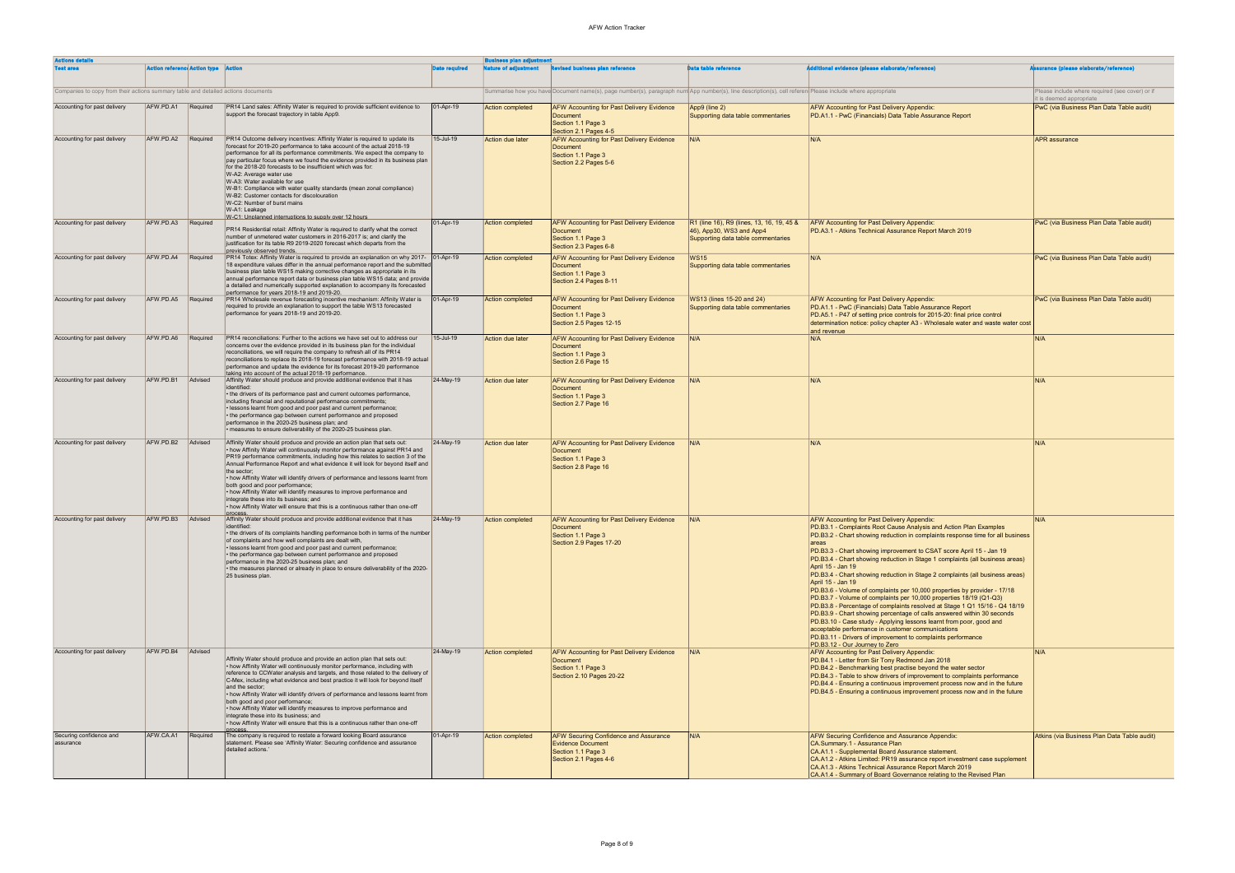| <b>Actions details</b>                                                            |                    |                                     |                                                                                                                                                                                                                                                                                                                                                                                                                                                                                                                                                                                                                                                                                   |                      | Business plan adjustment    |                                                                                                                                                          |                                                                                                             |                                                                                                                                                                                                                                                                                                                                                                                                                                                                                                                                                                                                                                                                                                                                                                                                                                                                                                                                                                                                                                  |                                                                             |
|-----------------------------------------------------------------------------------|--------------------|-------------------------------------|-----------------------------------------------------------------------------------------------------------------------------------------------------------------------------------------------------------------------------------------------------------------------------------------------------------------------------------------------------------------------------------------------------------------------------------------------------------------------------------------------------------------------------------------------------------------------------------------------------------------------------------------------------------------------------------|----------------------|-----------------------------|----------------------------------------------------------------------------------------------------------------------------------------------------------|-------------------------------------------------------------------------------------------------------------|----------------------------------------------------------------------------------------------------------------------------------------------------------------------------------------------------------------------------------------------------------------------------------------------------------------------------------------------------------------------------------------------------------------------------------------------------------------------------------------------------------------------------------------------------------------------------------------------------------------------------------------------------------------------------------------------------------------------------------------------------------------------------------------------------------------------------------------------------------------------------------------------------------------------------------------------------------------------------------------------------------------------------------|-----------------------------------------------------------------------------|
| <b>Test area</b>                                                                  |                    | <b>Action reference Action type</b> |                                                                                                                                                                                                                                                                                                                                                                                                                                                                                                                                                                                                                                                                                   | <b>Date required</b> | <b>Nature of adjustment</b> | <b>Revised business plan reference</b>                                                                                                                   | <b>Data table reference</b>                                                                                 | dditional evidence (please elaborate/reference)                                                                                                                                                                                                                                                                                                                                                                                                                                                                                                                                                                                                                                                                                                                                                                                                                                                                                                                                                                                  | <b>Assurance (please elaborate/reference)</b>                               |
| Companies to copy from their actions summary table and detailed actions documents |                    |                                     |                                                                                                                                                                                                                                                                                                                                                                                                                                                                                                                                                                                                                                                                                   |                      |                             | Summarise how you have Document name(s), page number(s), paragraph num App number(s), line description(s), cell referen Please include where appropriate |                                                                                                             |                                                                                                                                                                                                                                                                                                                                                                                                                                                                                                                                                                                                                                                                                                                                                                                                                                                                                                                                                                                                                                  | Please include where required (see cover) or if<br>it is deemed appropriate |
| Accounting for past delivery                                                      | AFW.PD.A1 Required |                                     | PR14 Land sales: Affinity Water is required to provide sufficient evidence to<br>support the forecast trajectory in table App9.                                                                                                                                                                                                                                                                                                                                                                                                                                                                                                                                                   | $ 01 - Apr-19 $      | <b>Action completed</b>     | AFW Accounting for Past Delivery Evidence<br><b>Document</b><br>Section 1.1 Page 3<br>Section 2.1 Pages 4-5                                              | App9 (line 2)<br>Supporting data table commentaries                                                         | <b>AFW Accounting for Past Delivery Appendix:</b><br>PD.A1.1 - PwC (Financials) Data Table Assurance Report                                                                                                                                                                                                                                                                                                                                                                                                                                                                                                                                                                                                                                                                                                                                                                                                                                                                                                                      | PwC (via Business Plan Data Table audit)                                    |
| Accounting for past delivery                                                      | AFW.PD.A2          | Required                            | PR14 Outcome delivery incentives: Affinity Water is required to update its<br>forecast for 2019-20 performance to take account of the actual 2018-19<br>performance for all its performance commitments. We expect the company to<br>pay particular focus where we found the evidence provided in its business plan<br>for the 2018-20 forecasts to be insufficient which was for:<br>W-A2: Average water use<br>W-A3: Water available for use<br>W-B1: Compliance with water quality standards (mean zonal compliance)<br>W-B2: Customer contacts for discolouration<br>W-C2: Number of burst mains<br>W-A1: Leakage<br>W-C1: Unnlanned interruntions to sunnly over 12 hours.   | 15-Jul-19            | Action due later            | AFW Accounting for Past Delivery Evidence<br>Document<br>Section 1.1 Page 3<br>Section 2.2 Pages 5-6                                                     | IN/A                                                                                                        | N/A                                                                                                                                                                                                                                                                                                                                                                                                                                                                                                                                                                                                                                                                                                                                                                                                                                                                                                                                                                                                                              | <b>APR</b> assurance                                                        |
| Accounting for past delivery                                                      | AFW.PD.A3          | Required                            | PR14 Residential retail: Affinity Water is required to clarify what the correct<br>number of unmetered water customers in 2016-2017 is; and clarify the<br>justification for its table R9 2019-2020 forecast which departs from the<br>previously observed trends.                                                                                                                                                                                                                                                                                                                                                                                                                | 01-Apr-19            | Action completed            | <b>AFW Accounting for Past Delivery Evidence</b><br><b>Document</b><br>Section 1.1 Page 3<br>Section 2.3 Pages 6-8                                       | R1 (line 16), R9 (lines, 13, 16, 19, 45 &<br>46), App30, WS3 and App4<br>Supporting data table commentaries | <b>AFW Accounting for Past Delivery Appendix:</b><br>PD.A3.1 - Atkins Technical Assurance Report March 2019                                                                                                                                                                                                                                                                                                                                                                                                                                                                                                                                                                                                                                                                                                                                                                                                                                                                                                                      | PwC (via Business Plan Data Table audit)                                    |
| Accounting for past delivery                                                      | AFW.PD.A4          | Required                            | PR14 Totex: Affinity Water is required to provide an explanation on why 2017- 01-Apr-19<br>18 expenditure values differ in the annual performance report and the submitted<br>business plan table WS15 making corrective changes as appropriate in its<br>annual performance report data or business plan table WS15 data; and provide<br>a detailed and numerically supported explanation to accompany its forecasted<br>performance for years 2018-19 and 2019-20.                                                                                                                                                                                                              |                      | <b>Action completed</b>     | <b>AFW Accounting for Past Delivery Evidence</b><br><b>Document</b><br>Section 1.1 Page 3<br>Section 2.4 Pages 8-11                                      | <b>WS15</b><br>Supporting data table commentaries                                                           | N/A                                                                                                                                                                                                                                                                                                                                                                                                                                                                                                                                                                                                                                                                                                                                                                                                                                                                                                                                                                                                                              | PwC (via Business Plan Data Table audit)                                    |
| Accounting for past delivery                                                      | AFW.PD.A5          | Required                            | PR14 Wholesale revenue forecasting incentive mechanism: Affinity Water is<br>required to provide an explanation to support the table WS13 forecasted<br>performance for years 2018-19 and 2019-20.                                                                                                                                                                                                                                                                                                                                                                                                                                                                                | $ 01 - Apr - 19 $    | Action completed            | AFW Accounting for Past Delivery Evidence<br><b>Document</b><br>Section 1.1 Page 3<br>Section 2.5 Pages 12-15                                            | WS13 (lines 15-20 and 24)<br>Supporting data table commentaries                                             | AFW Accounting for Past Delivery Appendix:<br>PD.A1.1 - PwC (Financials) Data Table Assurance Report<br>PD.A5.1 - P47 of setting price controls for 2015-20: final price control<br>determination notice: policy chapter A3 - Wholesale water and waste water cost<br>and revenue                                                                                                                                                                                                                                                                                                                                                                                                                                                                                                                                                                                                                                                                                                                                                | PwC (via Business Plan Data Table audit)                                    |
| Accounting for past delivery                                                      | AFW.PD.A6          | Required                            | PR14 reconciliations: Further to the actions we have set out to address our<br>concerns over the evidence provided in its business plan for the individual<br>reconciliations, we will require the company to refresh all of its PR14<br>reconciliations to replace its 2018-19 forecast performance with 2018-19 actual<br>performance and update the evidence for its forecast 2019-20 performance<br>taking into account of the actual 2018-19 performance                                                                                                                                                                                                                     | 15-Jul-19            | Action due later            | <b>AFW Accounting for Past Delivery Evidence</b><br>Document<br>Section 1.1 Page 3<br>Section 2.6 Page 15                                                | IN/A                                                                                                        | N/A                                                                                                                                                                                                                                                                                                                                                                                                                                                                                                                                                                                                                                                                                                                                                                                                                                                                                                                                                                                                                              | N/A                                                                         |
| Accounting for past delivery                                                      | AFW.PD.B1          | Advised                             | Affinity Water should produce and provide additional evidence that it has<br>identified:<br>• the drivers of its performance past and current outcomes performance,<br>including financial and reputational performance commitments;<br>· lessons learnt from good and poor past and current performance;<br>• the performance gap between current performance and proposed<br>performance in the 2020-25 business plan; and<br>• measures to ensure deliverability of the 2020-25 business plan.                                                                                                                                                                                 | 24-May-19            | Action due later            | <b>AFW Accounting for Past Delivery Evidence</b><br>Document<br>Section 1.1 Page 3<br>Section 2.7 Page 16                                                | N/A                                                                                                         | N/A                                                                                                                                                                                                                                                                                                                                                                                                                                                                                                                                                                                                                                                                                                                                                                                                                                                                                                                                                                                                                              | N/A                                                                         |
| Accounting for past delivery                                                      | AFW.PD.B2          | Advised                             | Affinity Water should produce and provide an action plan that sets out:<br>• how Affinity Water will continuously monitor performance against PR14 and<br>PR19 performance commitments, including how this relates to section 3 of the<br>Annual Performance Report and what evidence it will look for beyond itself and<br>the sector;<br>• how Affinity Water will identify drivers of performance and lessons learnt from<br>both good and poor performance;<br>• how Affinity Water will identify measures to improve performance and<br>integrate these into its business; and<br>• how Affinity Water will ensure that this is a continuous rather than one-off<br>process. | 24-May-19            | Action due later            | <b>AFW Accounting for Past Delivery Evidence</b><br>Document<br>Section 1.1 Page 3<br>Section 2.8 Page 16                                                | N/A                                                                                                         | N/A                                                                                                                                                                                                                                                                                                                                                                                                                                                                                                                                                                                                                                                                                                                                                                                                                                                                                                                                                                                                                              | N/A                                                                         |
| Accounting for past delivery                                                      | AFW.PD.B3          | Advised                             | Affinity Water should produce and provide additional evidence that it has<br>identified:<br>• the drivers of its complaints handling performance both in terms of the number<br>of complaints and how well complaints are dealt with,<br>· lessons learnt from good and poor past and current performance;<br>• the performance gap between current performance and proposed<br>performance in the 2020-25 business plan; and<br>• the measures planned or already in place to ensure deliverability of the 2020-<br>25 business plan.                                                                                                                                            | $ 24-May-19$         | Action completed            | <b>AFW Accounting for Past Delivery Evidence</b><br>Document<br>Section 1.1 Page 3<br>Section 2.9 Pages 17-20                                            |                                                                                                             | <b>AFW Accounting for Past Delivery Appendix:</b><br>PD.B3.1 - Complaints Root Cause Analysis and Action Plan Examples<br>PD.B3.2 - Chart showing reduction in complaints response time for all business<br>PD.B3.3 - Chart showing improvement to CSAT score April 15 - Jan 19<br>PD.B3.4 - Chart showing reduction in Stage 1 complaints (all business areas)<br>April 15 - Jan 19<br>PD.B3.4 - Chart showing reduction in Stage 2 complaints (all business areas)<br>April 15 - Jan 19<br>PD.B3.6 - Volume of complaints per 10,000 properties by provider - 17/18<br>PD.B3.7 - Volume of complaints per 10,000 properties 18/19 (Q1-Q3)<br>PD.B3.8 - Percentage of complaints resolved at Stage 1 Q1 15/16 - Q4 18/19<br>PD.B3.9 - Chart showing percentage of calls answered within 30 seconds<br>PD.B3.10 - Case study - Applying lessons learnt from poor, good and<br>acceptable performance in customer communications<br>PD.B3.11 - Drivers of improvement to complaints performance<br>PD.B3.12 - Our Journey to Zero | N/A                                                                         |
| Accounting for past delivery                                                      | AFW.PD.B4          | Advised                             | Affinity Water should produce and provide an action plan that sets out:<br>• how Affinity Water will continuously monitor performance, including with<br>reference to CCWater analysis and targets, and those related to the delivery of<br>C-Mex, including what evidence and best practice it will look for beyond itself<br>and the sector;<br>• how Affinity Water will identify drivers of performance and lessons learnt from<br>both good and poor performance;<br>• how Affinity Water will identify measures to improve performance and<br>integrate these into its business; and<br>. how Affinity Water will ensure that this is a continuous rather than one-off      | $ 24-May-19$         | Action completed            | <b>AFW Accounting for Past Delivery Evidence</b><br>Document<br>Section 1.1 Page 3<br>Section 2.10 Pages 20-22                                           | N/A                                                                                                         | AFW Accounting for Past Delivery Appendix:<br>PD.B4.1 - Letter from Sir Tony Redmond Jan 2018<br>PD.B4.2 - Benchmarking best practise beyond the water sector<br>PD.B4.3 - Table to show drivers of improvement to complaints performance<br>PD.B4.4 - Ensuring a continuous improvement process now and in the future<br>PD.B4.5 - Ensuring a continuous improvement process now and in the future                                                                                                                                                                                                                                                                                                                                                                                                                                                                                                                                                                                                                              | N/A                                                                         |
| Securing confidence and<br>assurance                                              | AFW.CA.A1          | Required                            | The company is required to restate a forward looking Board assurance<br>statement. Please see 'Affinity Water: Securing confidence and assurance<br>detailed actions.                                                                                                                                                                                                                                                                                                                                                                                                                                                                                                             | 01-Apr-19            | Action completed            | <b>AFW Securing Confidence and Assurance</b><br><b>Evidence Document</b><br>Section 1.1 Page 3<br>Section 2.1 Pages 4-6                                  | IN/A                                                                                                        | AFW Securing Confidence and Assurance Appendix:<br>CA.Summary.1 - Assurance Plan<br>CA.A1.1 - Supplemental Board Assurance statement.<br>CA.A1.2 - Atkins Limited: PR19 assurance report investment case supplement<br>CA.A1.3 - Atkins Technical Assurance Report March 2019<br>CA.A1.4 - Summary of Board Governance relating to the Revised Plan                                                                                                                                                                                                                                                                                                                                                                                                                                                                                                                                                                                                                                                                              | Atkins (via Business Plan Data Table audit)                                 |

| dditional evidence (please elaborate/reference)                                                                                                                                                                                                                                                                                                                                                                                                                                                                                                                                                                                                                                                                                                                                                                                                                                                                                                                                                                                    | <b>Assurance (please elaborate/reference)</b>                               |
|------------------------------------------------------------------------------------------------------------------------------------------------------------------------------------------------------------------------------------------------------------------------------------------------------------------------------------------------------------------------------------------------------------------------------------------------------------------------------------------------------------------------------------------------------------------------------------------------------------------------------------------------------------------------------------------------------------------------------------------------------------------------------------------------------------------------------------------------------------------------------------------------------------------------------------------------------------------------------------------------------------------------------------|-----------------------------------------------------------------------------|
| Please include where appropriate                                                                                                                                                                                                                                                                                                                                                                                                                                                                                                                                                                                                                                                                                                                                                                                                                                                                                                                                                                                                   | Please include where required (see cover) or if<br>it is deemed appropriate |
| AFW Accounting for Past Delivery Appendix:<br>PD.A1.1 - PwC (Financials) Data Table Assurance Report                                                                                                                                                                                                                                                                                                                                                                                                                                                                                                                                                                                                                                                                                                                                                                                                                                                                                                                               | PwC (via Business Plan Data Table audit)                                    |
| N/A                                                                                                                                                                                                                                                                                                                                                                                                                                                                                                                                                                                                                                                                                                                                                                                                                                                                                                                                                                                                                                | <b>APR</b> assurance                                                        |
| AFW Accounting for Past Delivery Appendix:<br>PD.A3.1 - Atkins Technical Assurance Report March 2019                                                                                                                                                                                                                                                                                                                                                                                                                                                                                                                                                                                                                                                                                                                                                                                                                                                                                                                               | PwC (via Business Plan Data Table audit)                                    |
| N/A                                                                                                                                                                                                                                                                                                                                                                                                                                                                                                                                                                                                                                                                                                                                                                                                                                                                                                                                                                                                                                | PwC (via Business Plan Data Table audit)                                    |
| AFW Accounting for Past Delivery Appendix:<br>PD.A1.1 - PwC (Financials) Data Table Assurance Report<br>PD.A5.1 - P47 of setting price controls for 2015-20: final price control<br>determination notice: policy chapter A3 - Wholesale water and waste water cost<br>and revenue                                                                                                                                                                                                                                                                                                                                                                                                                                                                                                                                                                                                                                                                                                                                                  | PwC (via Business Plan Data Table audit)                                    |
| N/A                                                                                                                                                                                                                                                                                                                                                                                                                                                                                                                                                                                                                                                                                                                                                                                                                                                                                                                                                                                                                                | N/A                                                                         |
| N/A                                                                                                                                                                                                                                                                                                                                                                                                                                                                                                                                                                                                                                                                                                                                                                                                                                                                                                                                                                                                                                | N/A                                                                         |
| N/A                                                                                                                                                                                                                                                                                                                                                                                                                                                                                                                                                                                                                                                                                                                                                                                                                                                                                                                                                                                                                                | N/A                                                                         |
| AFW Accounting for Past Delivery Appendix:<br>PD.B3.1 - Complaints Root Cause Analysis and Action Plan Examples<br>PD.B3.2 - Chart showing reduction in complaints response time for all business<br>areas<br>PD.B3.3 - Chart showing improvement to CSAT score April 15 - Jan 19<br>PD.B3.4 - Chart showing reduction in Stage 1 complaints (all business areas)<br>April 15 - Jan 19<br>PD.B3.4 - Chart showing reduction in Stage 2 complaints (all business areas)<br>April 15 - Jan 19<br>PD.B3.6 - Volume of complaints per 10,000 properties by provider - 17/18<br>PD.B3.7 - Volume of complaints per 10,000 properties 18/19 (Q1-Q3)<br>PD.B3.8 - Percentage of complaints resolved at Stage 1 Q1 15/16 - Q4 18/19<br>PD.B3.9 - Chart showing percentage of calls answered within 30 seconds<br>PD.B3.10 - Case study - Applying lessons learnt from poor, good and<br>acceptable performance in customer communications<br>PD.B3.11 - Drivers of improvement to complaints performance<br>PD.B3.12 - Our Journey to Zero | N/A                                                                         |
| AFW Accounting for Past Delivery Appendix:<br>PD.B4.1 - Letter from Sir Tony Redmond Jan 2018<br>PD.B4.2 - Benchmarking best practise beyond the water sector<br>PD.B4.3 - Table to show drivers of improvement to complaints performance<br>PD.B4.4 - Ensuring a continuous improvement process now and in the future<br>PD.B4.5 - Ensuring a continuous improvement process now and in the future                                                                                                                                                                                                                                                                                                                                                                                                                                                                                                                                                                                                                                | N/A                                                                         |
| AFW Securing Confidence and Assurance Appendix:<br><b>CA.Summary.1 - Assurance Plan</b><br>CA.A1.1 - Supplemental Board Assurance statement.<br>CA.A1.2 - Atkins Limited: PR19 assurance report investment case supplement<br>CA.A1.3 - Atkins Technical Assurance Report March 2019<br>CA.A1.4 - Summary of Board Governance relating to the Revised Plan                                                                                                                                                                                                                                                                                                                                                                                                                                                                                                                                                                                                                                                                         | Atkins (via Business Plan Data Table audit)                                 |